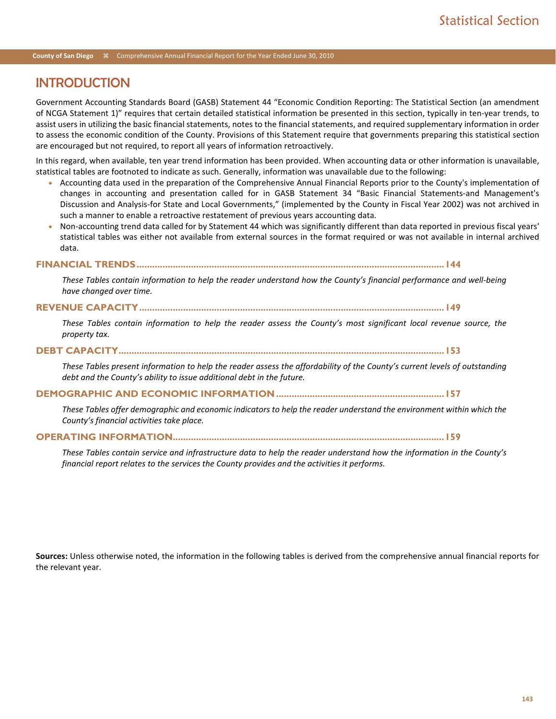# INTRODUCTION

Government Accounting Standards Board (GASB) Statement 44 "Economic Condition Reporting: The Statistical Section (an amendment of NCGA Statement 1)" requires that certain detailed statistical information be presented in this section, typically in ten-year trends, to assist users in utilizing the basic financial statements, notes to the financial statements, and required supplementary information in order to assess the economic condition of the County. Provisions of this Statement require that governments preparing this statistical section are encouraged but not required, to report all years of information retroactively.

In this regard, when available, ten year trend information has been provided. When accounting data or other information is unavailable, statistical tables are footnoted to indicate as such. Generally, information was unavailable due to the following:

- Accounting data used in the preparation of the Comprehensive Annual Financial Reports prior to the County's implementation of changes in accounting and presentation called for in GASB Statement 34 "Basic Financial Statements-and Management's Discussion and Analysis-for State and Local Governments," (implemented by the County in Fiscal Year 2002) was not archived in such a manner to enable a retroactive restatement of previous years accounting data.
- Non-accounting trend data called for by Statement 44 which was significantly different than data reported in previous fiscal years' statistical tables was either not available from external sources in the format required or was not available in internal archived data.

#### **FINANCIAL TRENDS.......................................................................................................................144**

*These Tables contain information to help the reader understand how the County's financial performance and well-being have changed over time.*

## **REVENUE CAPACITY......................................................................................................................149**

*These Tables contain information to help the reader assess the County's most significant local revenue source, the property tax.*

#### **DEBT CAPACITY..............................................................................................................................153**

*These Tables present information to help the reader assess the affordability of the County's current levels of outstanding debt and the County's ability to issue additional debt in the future.* 

#### **DEMOGRAPHIC AND ECONOMIC INFORMATION .................................................................157**

*These Tables offer demographic and economic indicators to help the reader understand the environment within which the County's financial activities take place.* 

## **OPERATING INFORMATION.........................................................................................................159**

*These Tables contain service and infrastructure data to help the reader understand how the information in the County's financial report relates to the services the County provides and the activities it performs.* 

**Sources:** Unless otherwise noted, the information in the following tables is derived from the comprehensive annual financial reports for the relevant year.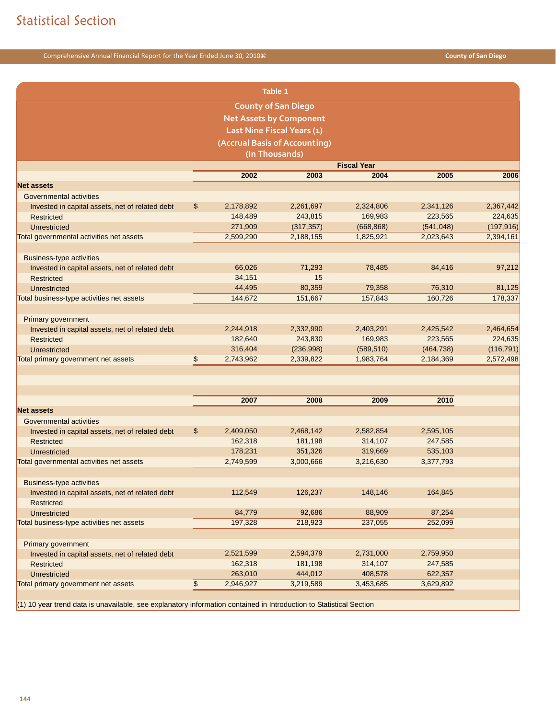|                                                 |               |           | <b>Table 1</b>                 |                    |            |            |
|-------------------------------------------------|---------------|-----------|--------------------------------|--------------------|------------|------------|
|                                                 |               |           | <b>County of San Diego</b>     |                    |            |            |
|                                                 |               |           | <b>Net Assets by Component</b> |                    |            |            |
|                                                 |               |           | Last Nine Fiscal Years (1)     |                    |            |            |
|                                                 |               |           | (Accrual Basis of Accounting)  |                    |            |            |
|                                                 |               |           | (In Thousands)                 |                    |            |            |
|                                                 |               |           |                                | <b>Fiscal Year</b> |            |            |
|                                                 |               | 2002      | 2003                           | 2004               | 2005       | 2006       |
| <b>Net assets</b>                               |               |           |                                |                    |            |            |
| Governmental activities                         |               |           |                                |                    |            |            |
| Invested in capital assets, net of related debt | \$            | 2,178,892 | 2,261,697                      | 2,324,806          | 2,341,126  | 2,367,442  |
| <b>Restricted</b>                               |               | 148,489   | 243,815                        | 169,983            | 223,565    | 224,635    |
| Unrestricted                                    |               | 271,909   | (317, 357)                     | (668, 868)         | (541, 048) | (197, 916) |
| Total governmental activities net assets        |               | 2,599,290 | 2,188,155                      | 1,825,921          | 2,023,643  | 2,394,161  |
| <b>Business-type activities</b>                 |               |           |                                |                    |            |            |
| Invested in capital assets, net of related debt |               | 66,026    | 71,293                         | 78,485             | 84,416     | 97,212     |
| <b>Restricted</b>                               |               | 34,151    | 15                             |                    |            |            |
| Unrestricted                                    |               | 44,495    | 80,359                         | 79,358             | 76,310     | 81,125     |
| Total business-type activities net assets       |               | 144,672   | 151,667                        | 157,843            | 160,726    | 178,337    |
|                                                 |               |           |                                |                    |            |            |
| Primary government                              |               |           |                                |                    |            |            |
| Invested in capital assets, net of related debt |               | 2,244,918 | 2,332,990                      | 2,403,291          | 2,425,542  | 2,464,654  |
| <b>Restricted</b>                               |               | 182,640   | 243,830                        | 169,983            | 223,565    | 224,635    |
| Unrestricted                                    |               | 316,404   | (236,998)                      | (589, 510)         | (464, 738) | (116, 791) |
| Total primary government net assets             | $\frac{1}{2}$ | 2,743,962 | 2,339,822                      | 1,983,764          | 2,184,369  | 2,572,498  |
|                                                 |               |           |                                |                    |            |            |
|                                                 |               |           |                                |                    |            |            |
|                                                 |               | 2007      | 2008                           | 2009               | 2010       |            |
| <b>Net assets</b>                               |               |           |                                |                    |            |            |
| Governmental activities                         |               |           |                                |                    |            |            |
| Invested in capital assets, net of related debt | \$            | 2,409,050 | 2,468,142                      | 2,582,854          | 2,595,105  |            |
| Restricted                                      |               | 162,318   | 181,198                        | 314,107            | 247,585    |            |
| Unrestricted                                    |               | 178,231   | 351,326                        | 319,669            | 535,103    |            |
| Total governmental activities net assets        |               | 2,749,599 | 3,000,666                      | 3,216,630          | 3,377,793  |            |
| <b>Business-type activities</b>                 |               |           |                                |                    |            |            |
| Invested in capital assets, net of related debt |               | 112,549   | 126,237                        | 148,146            | 164,845    |            |
| <b>Restricted</b>                               |               |           |                                |                    |            |            |
| Unrestricted                                    |               | 84,779    | 92,686                         | 88,909             | 87,254     |            |
| Total business-type activities net assets       |               | 197,328   | 218,923                        | 237,055            | 252,099    |            |
|                                                 |               |           |                                |                    |            |            |
| Primary government                              |               |           |                                |                    |            |            |
| Invested in capital assets, net of related debt |               | 2,521,599 | 2,594,379                      | 2,731,000          | 2,759,950  |            |
| <b>Restricted</b>                               |               | 162,318   | 181,198                        | 314,107            | 247,585    |            |
| Unrestricted                                    |               | 263,010   | 444,012                        | 408,578            | 622,357    |            |
| Total primary government net assets             | $\,$          | 2,946,927 | 3,219,589                      | 3,453,685          | 3,629,892  |            |
|                                                 |               |           |                                |                    |            |            |

(1) 10 year trend data is unavailable, see explanatory information contained in Introduction to Statistical Section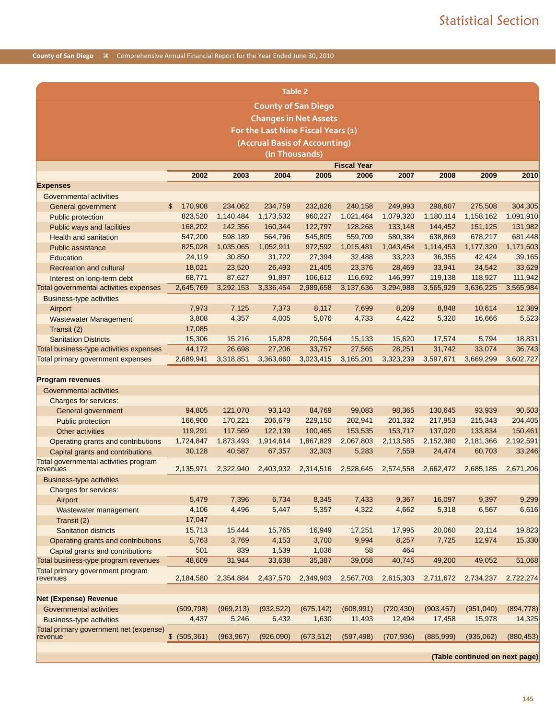|                                                   |                  |            |                            | <b>Table 2</b>                     |                    |            |            |                                |            |
|---------------------------------------------------|------------------|------------|----------------------------|------------------------------------|--------------------|------------|------------|--------------------------------|------------|
|                                                   |                  |            | <b>County of San Diego</b> |                                    |                    |            |            |                                |            |
|                                                   |                  |            |                            |                                    |                    |            |            |                                |            |
|                                                   |                  |            |                            | <b>Changes in Net Assets</b>       |                    |            |            |                                |            |
|                                                   |                  |            |                            | For the Last Nine Fiscal Years (1) |                    |            |            |                                |            |
|                                                   |                  |            |                            | (Accrual Basis of Accounting)      |                    |            |            |                                |            |
|                                                   |                  |            | (In Thousands)             |                                    |                    |            |            |                                |            |
|                                                   |                  |            |                            |                                    | <b>Fiscal Year</b> |            |            |                                |            |
|                                                   | 2002             | 2003       | 2004                       | 2005                               | 2006               | 2007       | 2008       | 2009                           | 2010       |
| <b>Expenses</b>                                   |                  |            |                            |                                    |                    |            |            |                                |            |
| Governmental activities                           |                  |            |                            |                                    |                    |            |            |                                |            |
| General government                                | 170,908<br>\$    | 234,062    | 234,759                    | 232,826                            | 240,158            | 249,993    | 298,607    | 275,508                        | 304,305    |
| Public protection                                 | 823,520          | 1,140,484  | 1,173,532                  | 960,227                            | 1,021,464          | 1,079,320  | 1,180,114  | 1,158,162                      | 1,091,910  |
| Public ways and facilities                        | 168,202          | 142,356    | 160,344                    | 122,797                            | 128,268            | 133,148    | 144,452    | 151,125                        | 131,982    |
| <b>Health and sanitation</b>                      | 547,200          | 598,189    | 564,796                    | 545,805                            | 559,709            | 580,384    | 638,869    | 678,217                        | 681,448    |
| <b>Public assistance</b>                          | 825,028          | 1,035,065  | 1,052,911                  | 972,592                            | 1,015,481          | 1,043,454  | 1,114,453  | 1,177,320                      | 1,171,603  |
| Education                                         | 24,119           | 30,850     | 31,722                     | 27,394                             | 32,488             | 33,223     | 36,355     | 42,424                         | 39,165     |
| <b>Recreation and cultural</b>                    | 18,021           | 23,520     | 26,493                     | 21,405                             | 23,376             | 28,469     | 33,941     | 34,542                         | 33,629     |
| Interest on long-term debt                        | 68,771           | 87,627     | 91,897                     | 106,612                            | 116,692            | 146,997    | 119,138    | 118,927                        | 111,942    |
| Total governmental activities expenses            | 2,645,769        | 3,292,153  | 3,336,454                  | 2,989,658                          | 3,137,636          | 3,294,988  | 3,565,929  | 3,636,225                      | 3,565,984  |
| <b>Business-type activities</b>                   |                  |            |                            |                                    |                    |            |            |                                |            |
| Airport                                           | 7,973            | 7,125      | 7,373                      | 8,117                              | 7,699              | 8,209      | 8,848      | 10,614                         | 12,389     |
| <b>Wastewater Management</b>                      | 3,808            | 4,357      | 4,005                      | 5,076                              | 4,733              | 4,422      | 5,320      | 16,666                         | 5,523      |
| Transit (2)                                       | 17,085           |            |                            |                                    |                    |            |            |                                |            |
| <b>Sanitation Districts</b>                       | 15,306           | 15,216     | 15,828                     | 20,564                             | 15,133             | 15,620     | 17,574     | 5,794                          | 18,831     |
| Total business-type activities expenses           | 44,172           | 26,698     | 27,206                     | 33,757                             | 27,565             | 28,251     | 31,742     | 33,074                         | 36,743     |
| Total primary government expenses                 | 2,689,941        | 3,318,851  | 3,363,660                  | 3,023,415                          | 3,165,201          | 3,323,239  | 3,597,671  | 3,669,299                      | 3,602,727  |
|                                                   |                  |            |                            |                                    |                    |            |            |                                |            |
| <b>Program revenues</b>                           |                  |            |                            |                                    |                    |            |            |                                |            |
| Governmental activities                           |                  |            |                            |                                    |                    |            |            |                                |            |
| Charges for services:                             |                  |            |                            |                                    |                    |            |            |                                |            |
| General government                                | 94,805           | 121,070    | 93,143                     | 84,769                             | 99,083             | 98,365     | 130,645    | 93,939                         | 90,503     |
| Public protection                                 | 166,900          | 170,221    | 206,679                    | 229,150                            | 202,941            | 201,332    | 217,953    | 215,343                        | 204,405    |
| Other activities                                  | 119,291          | 117,569    | 122,139                    | 100,465                            | 153,535            | 153,717    | 137,020    | 133,834                        | 150,461    |
| Operating grants and contributions                | 1,724,847        | 1,873,493  | 1,914,614                  | 1,867,829                          | 2,067,803          | 2,113,585  | 2,152,380  | 2,181,366                      | 2,192,591  |
| Capital grants and contributions                  | 30,128           | 40,587     | 67,357                     | 32,303                             | 5,283              | 7,559      | 24,474     | 60,703                         | 33,246     |
| Total governmental activities program             |                  |            |                            |                                    |                    |            |            |                                |            |
| revenues                                          | 2,135,971        | 2,322,940  | 2,403,932                  | 2,314,516                          | 2,528,645          | 2,574,558  | 2,662,472  | 2,685,185                      | 2,671,206  |
| <b>Business-type activities</b>                   |                  |            |                            |                                    |                    |            |            |                                |            |
| Charges for services:                             |                  |            |                            |                                    |                    |            |            |                                |            |
| Airport                                           | 5,479            | 7,396      | 6,734                      | 8,345                              | 7,433              | 9,367      | 16,097     | 9,397                          | 9,299      |
| Wastewater management                             | 4,106            | 4,496      | 5,447                      | 5,357                              | 4,322              | 4,662      | 5,318      | 6,567                          | 6,616      |
| Transit (2)                                       | 17,047           |            |                            |                                    |                    |            |            |                                |            |
| <b>Sanitation districts</b>                       | 15,713           | 15,444     | 15,765                     | 16,949                             | 17,251             | 17,995     | 20,060     | 20,114                         | 19,823     |
| Operating grants and contributions                | 5,763            | 3,769      | 4,153                      | 3,700                              | 9,994              | 8,257      | 7,725      | 12,974                         | 15,330     |
| Capital grants and contributions                  | 501              | 839        | 1,539                      | 1,036                              | 58                 | 464        |            |                                |            |
| Total business-type program revenues              | 48,609           | 31,944     | 33,638                     | 35,387                             | 39,058             | 40,745     | 49,200     | 49,052                         | 51,068     |
| Total primary government program                  |                  |            |                            |                                    |                    |            |            |                                |            |
| revenues                                          | 2,184,580        | 2,354,884  | 2,437,570                  | 2,349,903                          | 2,567,703          | 2,615,303  | 2,711,672  | 2,734,237                      | 2,722,274  |
|                                                   |                  |            |                            |                                    |                    |            |            |                                |            |
| <b>Net (Expense) Revenue</b>                      |                  |            |                            |                                    |                    |            |            |                                |            |
| Governmental activities                           | (509, 798)       | (969, 213) | (932, 522)                 | (675, 142)                         | (608, 991)         | (720, 430) | (903, 457) | (951,040)                      | (894, 778) |
| <b>Business-type activities</b>                   | 4,437            | 5,246      | 6,432                      | 1,630                              | 11,493             | 12,494     | 17,458     | 15,978                         | 14,325     |
| Total primary government net (expense)<br>revenue | \$<br>(505, 361) | (963, 967) | (926,090)                  | (673, 512)                         | (597, 498)         | (707, 936) | (885,999)  | (935,062)                      | (880, 453) |
|                                                   |                  |            |                            |                                    |                    |            |            |                                |            |
|                                                   |                  |            |                            |                                    |                    |            |            | (Table continued on next page) |            |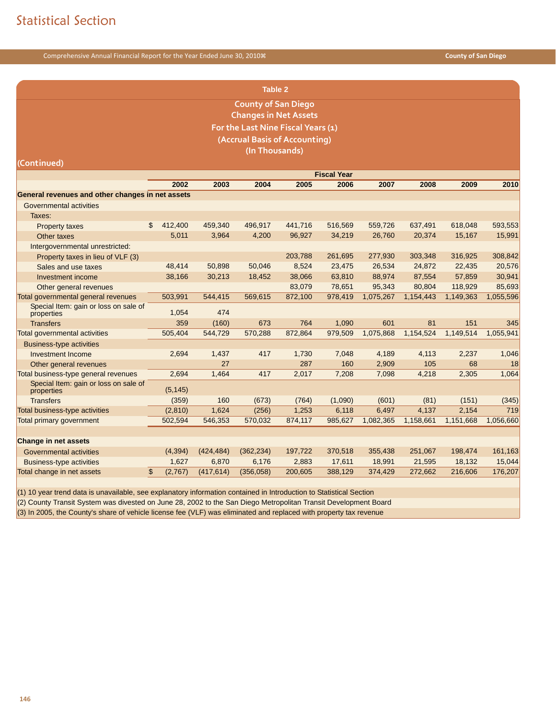| <b>Table 2</b>                                      |    |                                                                      |            |                                    |         |                    |           |           |           |           |  |
|-----------------------------------------------------|----|----------------------------------------------------------------------|------------|------------------------------------|---------|--------------------|-----------|-----------|-----------|-----------|--|
|                                                     |    |                                                                      |            | <b>County of San Diego</b>         |         |                    |           |           |           |           |  |
|                                                     |    |                                                                      |            | <b>Changes in Net Assets</b>       |         |                    |           |           |           |           |  |
|                                                     |    |                                                                      |            | For the Last Nine Fiscal Years (1) |         |                    |           |           |           |           |  |
|                                                     |    |                                                                      |            | (Accrual Basis of Accounting)      |         |                    |           |           |           |           |  |
|                                                     |    |                                                                      |            | (In Thousands)                     |         |                    |           |           |           |           |  |
| (Continued)                                         |    |                                                                      |            |                                    |         |                    |           |           |           |           |  |
|                                                     |    |                                                                      |            |                                    |         | <b>Fiscal Year</b> |           |           |           |           |  |
|                                                     |    | 2002<br>2003<br>2004<br>2005<br>2006<br>2007<br>2008<br>2009<br>2010 |            |                                    |         |                    |           |           |           |           |  |
| General revenues and other changes in net assets    |    |                                                                      |            |                                    |         |                    |           |           |           |           |  |
| Governmental activities                             |    |                                                                      |            |                                    |         |                    |           |           |           |           |  |
| Taxes:                                              |    |                                                                      |            |                                    |         |                    |           |           |           |           |  |
| <b>Property taxes</b>                               | \$ | 412,400                                                              | 459,340    | 496,917                            | 441,716 | 516,569            | 559,726   | 637,491   | 618,048   | 593,553   |  |
| Other taxes                                         |    | 5,011                                                                | 3,964      | 4,200                              | 96,927  | 34,219             | 26,760    | 20,374    | 15,167    | 15,991    |  |
| Intergovernmental unrestricted:                     |    |                                                                      |            |                                    |         |                    |           |           |           |           |  |
| Property taxes in lieu of VLF (3)                   |    |                                                                      |            |                                    | 203,788 | 261,695            | 277,930   | 303,348   | 316,925   | 308,842   |  |
| Sales and use taxes                                 |    | 48,414                                                               | 50.898     | 50.046                             | 8,524   | 23,475             | 26,534    | 24,872    | 22,435    | 20,576    |  |
| Investment income                                   |    | 38,166                                                               | 30,213     | 18,452                             | 38,066  | 63,810             | 88,974    | 87,554    | 57,859    | 30,941    |  |
| Other general revenues                              |    |                                                                      |            |                                    | 83,079  | 78,651             | 95,343    | 80,804    | 118,929   | 85,693    |  |
| Total governmental general revenues                 |    | 503,991                                                              | 544,415    | 569,615                            | 872,100 | 978,419            | 1,075,267 | 1,154,443 | 1,149,363 | 1,055,596 |  |
| Special Item: gain or loss on sale of<br>properties |    | 1,054                                                                | 474        |                                    |         |                    |           |           |           |           |  |
| <b>Transfers</b>                                    |    | 359                                                                  | (160)      | 673                                | 764     | 1,090              | 601       | 81        | 151       | 345       |  |
| <b>Total governmental activities</b>                |    | 505,404                                                              | 544,729    | 570,288                            | 872,864 | 979,509            | 1,075,868 | 1,154,524 | 1,149,514 | 1,055,941 |  |
| <b>Business-type activities</b>                     |    |                                                                      |            |                                    |         |                    |           |           |           |           |  |
| <b>Investment Income</b>                            |    | 2,694                                                                | 1,437      | 417                                | 1,730   | 7,048              | 4,189     | 4,113     | 2,237     | 1,046     |  |
| Other general revenues                              |    |                                                                      | 27         |                                    | 287     | 160                | 2,909     | 105       | 68        | 18        |  |
| Total business-type general revenues                |    | 2,694                                                                | 1,464      | 417                                | 2,017   | 7,208              | 7,098     | 4,218     | 2,305     | 1,064     |  |
| Special Item: gain or loss on sale of<br>properties |    | (5, 145)                                                             |            |                                    |         |                    |           |           |           |           |  |
| <b>Transfers</b>                                    |    | (359)                                                                | 160        | (673)                              | (764)   | (1,090)            | (601)     | (81)      | (151)     | (345)     |  |
| Total business-type activities                      |    | (2,810)                                                              | 1,624      | (256)                              | 1,253   | 6,118              | 6,497     | 4,137     | 2,154     | 719       |  |
| <b>Total primary government</b>                     |    | 502,594                                                              | 546,353    | 570,032                            | 874,117 | 985,627            | 1,082,365 | 1,158,661 | 1,151,668 | 1,056,660 |  |
|                                                     |    |                                                                      |            |                                    |         |                    |           |           |           |           |  |
| <b>Change in net assets</b>                         |    |                                                                      |            |                                    |         |                    |           |           |           |           |  |
| Governmental activities                             |    | (4, 394)                                                             | (424, 484) | (362, 234)                         | 197,722 | 370,518            | 355,438   | 251,067   | 198,474   | 161,163   |  |
| <b>Business-type activities</b>                     |    | 1,627                                                                | 6,870      | 6,176                              | 2,883   | 17,611             | 18,991    | 21,595    | 18,132    | 15,044    |  |
| Total change in net assets                          | \$ | (2,767)                                                              | (417, 614) | (356, 058)                         | 200,605 | 388,129            | 374,429   | 272,662   | 216,606   | 176,207   |  |

(1) 10 year trend data is unavailable, see explanatory information contained in Introduction to Statistical Section

(2) County Transit System was divested on June 28, 2002 to the San Diego Metropolitan Transit Development Board

(3) In 2005, the County's share of vehicle license fee (VLF) was eliminated and replaced with property tax revenue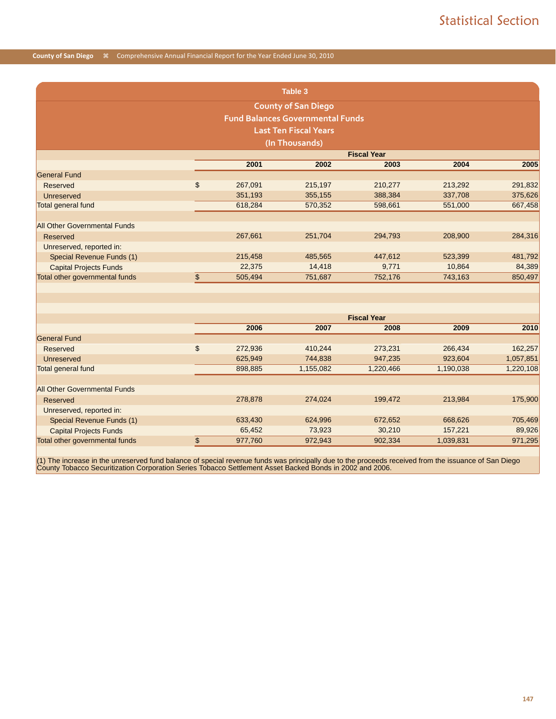|                                     |               | <b>Table 3</b>                          |                    |           |           |
|-------------------------------------|---------------|-----------------------------------------|--------------------|-----------|-----------|
|                                     |               | <b>County of San Diego</b>              |                    |           |           |
|                                     |               | <b>Fund Balances Governmental Funds</b> |                    |           |           |
|                                     |               | <b>Last Ten Fiscal Years</b>            |                    |           |           |
|                                     |               | (In Thousands)                          |                    |           |           |
|                                     |               |                                         | <b>Fiscal Year</b> |           |           |
|                                     | 2001          | 2002                                    | 2003               | 2004      | 2005      |
| <b>General Fund</b>                 |               |                                         |                    |           |           |
| <b>Reserved</b>                     | \$<br>267,091 | 215,197                                 | 210,277            | 213,292   | 291,832   |
| Unreserved                          | 351,193       | 355,155                                 | 388,384            | 337,708   | 375,626   |
| Total general fund                  | 618,284       | 570,352                                 | 598,661            | 551,000   | 667,458   |
|                                     |               |                                         |                    |           |           |
| <b>All Other Governmental Funds</b> |               |                                         |                    |           |           |
| <b>Reserved</b>                     | 267,661       | 251,704                                 | 294,793            | 208,900   | 284,316   |
| Unreserved, reported in:            |               |                                         |                    |           |           |
| Special Revenue Funds (1)           | 215,458       | 485,565                                 | 447,612            | 523,399   | 481,792   |
| <b>Capital Projects Funds</b>       | 22,375        | 14,418                                  | 9,771              | 10,864    | 84,389    |
| Total other governmental funds      | \$<br>505,494 | 751,687                                 | 752,176            | 743,163   | 850,497   |
|                                     |               |                                         |                    |           |           |
|                                     |               |                                         |                    |           |           |
|                                     |               |                                         |                    |           |           |
|                                     |               |                                         | <b>Fiscal Year</b> |           |           |
|                                     | 2006          | 2007                                    | 2008               | 2009      | 2010      |
| <b>General Fund</b>                 |               |                                         |                    |           |           |
| Reserved                            | \$<br>272,936 | 410,244                                 | 273,231            | 266,434   | 162,257   |
| Unreserved                          | 625,949       | 744,838                                 | 947,235            | 923,604   | 1,057,851 |
| Total general fund                  | 898,885       | 1,155,082                               | 1,220,466          | 1,190,038 | 1,220,108 |
|                                     |               |                                         |                    |           |           |
| <b>All Other Governmental Funds</b> |               |                                         |                    |           |           |
| <b>Reserved</b>                     | 278,878       | 274,024                                 | 199,472            | 213,984   | 175,900   |
| Unreserved, reported in:            |               |                                         |                    |           |           |
| Special Revenue Funds (1)           | 633,430       | 624,996                                 | 672,652            | 668,626   | 705,469   |
| <b>Capital Projects Funds</b>       | 65,452        | 73,923                                  | 30,210             | 157,221   | 89,926    |
| Total other governmental funds      | \$<br>977,760 | 972,943                                 | 902,334            | 1,039,831 | 971,295   |

(1) The increase in the unreserved fund balance of special revenue funds was principally due to the proceeds received from the issuance of San Diego<br>County Tobacco Securitization Corporation Series Tobacco Settlement Asset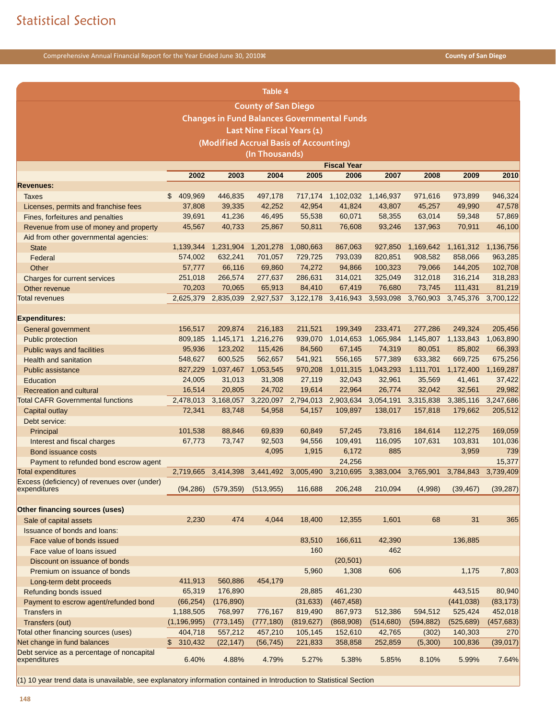|                                                            |                         |                                                    | Table 4                    |                     |                             |                     |                     |                     |                     |
|------------------------------------------------------------|-------------------------|----------------------------------------------------|----------------------------|---------------------|-----------------------------|---------------------|---------------------|---------------------|---------------------|
|                                                            |                         |                                                    | <b>County of San Diego</b> |                     |                             |                     |                     |                     |                     |
|                                                            |                         | <b>Changes in Fund Balances Governmental Funds</b> |                            |                     |                             |                     |                     |                     |                     |
|                                                            |                         |                                                    | Last Nine Fiscal Years (1) |                     |                             |                     |                     |                     |                     |
|                                                            |                         | (Modified Accrual Basis of Accounting)             |                            |                     |                             |                     |                     |                     |                     |
|                                                            |                         |                                                    | (In Thousands)             |                     |                             |                     |                     |                     |                     |
|                                                            |                         |                                                    |                            |                     | <b>Fiscal Year</b>          |                     |                     |                     |                     |
|                                                            | 2002                    | 2003                                               | 2004                       | 2005                | 2006                        | 2007                | 2008                | 2009                | 2010                |
| <b>Revenues:</b>                                           |                         |                                                    |                            |                     |                             |                     |                     |                     |                     |
| <b>Taxes</b>                                               | 409,969<br>\$           | 446,835                                            | 497,178                    |                     | 717,174 1,102,032 1,146,937 |                     | 971,616             | 973,899             | 946,324             |
| Licenses, permits and franchise fees                       | 37,808                  | 39,335                                             | 42,252                     | 42,954              | 41,824                      | 43,807              | 45,257              | 49,990              | 47,578              |
| Fines, forfeitures and penalties                           | 39,691                  | 41,236                                             | 46,495                     | 55,538              | 60,071                      | 58,355              | 63,014              | 59,348              | 57,869              |
| Revenue from use of money and property                     | 45,567                  | 40,733                                             | 25,867                     | 50,811              | 76,608                      | 93,246              | 137,963             | 70,911              | 46,100              |
| Aid from other governmental agencies:                      |                         |                                                    |                            |                     |                             |                     |                     |                     |                     |
| <b>State</b>                                               | 1,139,344               | 1,231,904                                          | 1,201,278                  | 1,080,663           | 867,063                     | 927,850             | 1,169,642           | 1,161,312           | 1,136,756           |
| Federal                                                    | 574,002                 | 632,241                                            | 701,057                    | 729,725             | 793,039                     | 820,851             | 908,582             | 858,066             | 963,285             |
| Other                                                      | 57,777                  | 66,116                                             | 69,860                     | 74,272              | 94,866                      | 100,323             | 79,066              | 144,205             | 102,708             |
| Charges for current services                               | 251,018                 | 266,574                                            | 277,637                    | 286,631             | 314,021                     | 325,049             | 312,018             | 316,214             | 318,283             |
| Other revenue                                              | 70,203                  | 70,065                                             | 65,913                     | 84,410              | 67,419                      | 76,680              | 73,745              | 111,431             | 81,219              |
| <b>Total revenues</b>                                      | 2,625,379               | 2,835,039                                          | 2,927,537                  | 3,122,178           | 3,416,943                   | 3,593,098           | 3,760,903           | 3,745,376           | 3,700,122           |
|                                                            |                         |                                                    |                            |                     |                             |                     |                     |                     |                     |
| <b>Expenditures:</b>                                       |                         |                                                    |                            |                     |                             |                     |                     |                     |                     |
| General government                                         | 156,517                 | 209,874                                            | 216,183                    | 211,521             | 199,349                     | 233,471             | 277,286             | 249,324             | 205,456             |
| Public protection                                          | 809,185                 | 1,145,171                                          | 1,216,276                  | 939,070             | 1,014,653                   | 1,065,984           | 1,145,807           | 1,133,843           | 1,063,890           |
| Public ways and facilities                                 | 95,936                  | 123,202                                            | 115,426                    | 84,560              | 67,145                      | 74,319              | 80,051              | 85,802              | 66,393              |
| <b>Health and sanitation</b>                               | 548,627                 | 600,525                                            | 562,657                    | 541,921             | 556,165                     | 577,389             | 633,382             | 669,725             | 675,256             |
| <b>Public assistance</b>                                   | 827,229<br>24,005       | 1,037,467 1,053,545<br>31,013                      | 31,308                     | 970,208<br>27,119   | 1,011,315<br>32,043         | 1,043,293<br>32,961 | 1,111,701<br>35,569 | 1,172,400<br>41,461 | 1,169,287<br>37,422 |
| Education<br><b>Recreation and cultural</b>                | 16,514                  | 20,805                                             | 24,702                     | 19,614              | 22,964                      | 26,774              | 32,042              | 32,561              | 29,982              |
| <b>Total CAFR Governmental functions</b>                   |                         | 2,478,013 3,168,057                                |                            | 3,220,097 2,794,013 | 2,903,634                   | 3,054,191           | 3,315,838           | 3,385,116           | 3,247,686           |
| Capital outlay                                             | 72,341                  | 83,748                                             | 54,958                     | 54,157              | 109,897                     | 138,017             | 157,818             | 179,662             | 205,512             |
| Debt service:                                              |                         |                                                    |                            |                     |                             |                     |                     |                     |                     |
| Principal                                                  | 101,538                 | 88,846                                             | 69,839                     | 60,849              | 57,245                      | 73,816              | 184,614             | 112,275             | 169,059             |
| Interest and fiscal charges                                | 67,773                  | 73,747                                             | 92,503                     | 94,556              | 109,491                     | 116,095             | 107,631             | 103,831             | 101,036             |
| Bond issuance costs                                        |                         |                                                    | 4,095                      | 1,915               | 6,172                       | 885                 |                     | 3,959               | 739                 |
| Payment to refunded bond escrow agent                      |                         |                                                    |                            |                     | 24,256                      |                     |                     |                     | 15,377              |
| <b>Total expenditures</b>                                  | 2,719,665               | 3,414,398                                          | 3,441,492 3,005,490        |                     | 3,210,695                   |                     | 3,383,004 3,765,901 | 3,784,843           | 3,739,409           |
| Excess (deficiency) of revenues over (under)               |                         |                                                    |                            |                     |                             |                     |                     |                     |                     |
| expenditures                                               |                         | $(94, 286)$ $(579, 359)$ $(513, 955)$              |                            | 116,688             | 206,248                     | 210,094             | (4,998)             | (39, 467)           | (39, 287)           |
|                                                            |                         |                                                    |                            |                     |                             |                     |                     |                     |                     |
| Other financing sources (uses)                             |                         |                                                    |                            |                     |                             |                     |                     |                     |                     |
| Sale of capital assets                                     | 2,230                   | 474                                                | 4,044                      | 18,400              | 12,355                      | 1,601               | 68                  | 31                  | 365                 |
| <b>Issuance of bonds and loans:</b>                        |                         |                                                    |                            |                     |                             |                     |                     |                     |                     |
| Face value of bonds issued                                 |                         |                                                    |                            | 83,510              | 166,611                     | 42,390              |                     | 136,885             |                     |
| Face value of loans issued                                 |                         |                                                    |                            | 160                 |                             | 462                 |                     |                     |                     |
| Discount on issuance of bonds                              |                         |                                                    |                            | 5,960               | (20, 501)<br>1,308          | 606                 |                     | 1,175               | 7,803               |
| Premium on issuance of bonds                               | 411,913                 | 560,886                                            | 454,179                    |                     |                             |                     |                     |                     |                     |
| Long-term debt proceeds<br>Refunding bonds issued          | 65,319                  | 176,890                                            |                            | 28,885              | 461,230                     |                     |                     | 443,515             | 80,940              |
| Payment to escrow agent/refunded bond                      | (66, 254)               | (176, 890)                                         |                            | (31, 633)           | (467, 458)                  |                     |                     | (441, 038)          | (83, 173)           |
| <b>Transfers in</b>                                        | 1,188,505               | 768,997                                            | 776,167                    | 819,490             | 867,973                     | 512,386             | 594,512             | 525,424             | 452,018             |
| Transfers (out)                                            | (1, 196, 995)           | (773, 145)                                         | (777, 180)                 | (819, 627)          | (868,908)                   | (514, 680)          | (594, 882)          | (525, 689)          | (457, 683)          |
| Total other financing sources (uses)                       | 404,718                 | 557,212                                            | 457,210                    | 105,145             | 152,610                     | 42,765              | (302)               | 140,303             | 270                 |
| Net change in fund balances                                | $\mathbb{S}$<br>310,432 | (22, 147)                                          | (56, 745)                  | 221,833             | 358,858                     | 252,859             | (5,300)             | 100,836             | (39, 017)           |
| Debt service as a percentage of noncapital<br>expenditures | 6.40%                   | 4.88%                                              | 4.79%                      | 5.27%               | 5.38%                       | 5.85%               | 8.10%               | 5.99%               | 7.64%               |
|                                                            |                         |                                                    |                            |                     |                             |                     |                     |                     |                     |

(1) 10 year trend data is unavailable, see explanatory information contained in Introduction to Statistical Section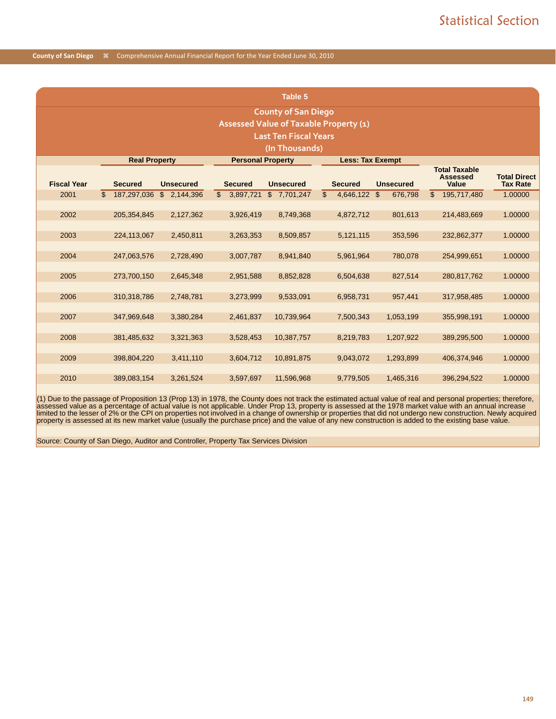|                                        |                               |                  |                           | Table 5                    |                |                         |                  |                |                                                         |                                        |  |  |
|----------------------------------------|-------------------------------|------------------|---------------------------|----------------------------|----------------|-------------------------|------------------|----------------|---------------------------------------------------------|----------------------------------------|--|--|
|                                        |                               |                  |                           | <b>County of San Diego</b> |                |                         |                  |                |                                                         |                                        |  |  |
| Assessed Value of Taxable Property (1) |                               |                  |                           |                            |                |                         |                  |                |                                                         |                                        |  |  |
|                                        | <b>Last Ten Fiscal Years</b>  |                  |                           |                            |                |                         |                  |                |                                                         |                                        |  |  |
|                                        | (In Thousands)                |                  |                           |                            |                |                         |                  |                |                                                         |                                        |  |  |
|                                        | <b>Real Property</b>          |                  | <b>Personal Property</b>  |                            |                | <b>Less: Tax Exempt</b> |                  |                |                                                         |                                        |  |  |
| <b>Fiscal Year</b>                     | <b>Secured</b>                | <b>Unsecured</b> | <b>Secured</b>            | <b>Unsecured</b>           |                | <b>Secured</b>          | <b>Unsecured</b> |                | <b>Total Taxable</b><br><b>Assessed</b><br><b>Value</b> | <b>Total Direct</b><br><b>Tax Rate</b> |  |  |
| 2001                                   | $\mathfrak{L}$<br>187,297,036 | \$2,144,396      | $\mathbb{S}$<br>3,897,721 | \$7,701,247                | $\mathfrak{L}$ | 4,646,122 \$            | 676,798          | $\mathfrak{L}$ | 195,717,480                                             | 1.00000                                |  |  |
|                                        |                               |                  |                           |                            |                |                         |                  |                |                                                         |                                        |  |  |
| 2002                                   | 205, 354, 845                 | 2,127,362        | 3,926,419                 | 8,749,368                  |                | 4,872,712               | 801,613          |                | 214,483,669                                             | 1.00000                                |  |  |
| 2003                                   | 224,113,067                   | 2,450,811        | 3,263,353                 | 8,509,857                  |                | 5,121,115               | 353,596          |                | 232,862,377                                             | 1.00000                                |  |  |
|                                        |                               |                  |                           |                            |                |                         |                  |                |                                                         |                                        |  |  |
| 2004                                   | 247,063,576                   | 2,728,490        | 3,007,787                 | 8,941,840                  |                | 5,961,964               | 780,078          |                | 254,999,651                                             | 1.00000                                |  |  |
|                                        |                               |                  |                           |                            |                |                         |                  |                |                                                         |                                        |  |  |
| 2005                                   | 273,700,150                   | 2,645,348        | 2,951,588                 | 8,852,828                  |                | 6,504,638               | 827,514          |                | 280,817,762                                             | 1.00000                                |  |  |
|                                        |                               |                  |                           |                            |                |                         |                  |                |                                                         |                                        |  |  |
| 2006                                   | 310,318,786                   | 2,748,781        | 3,273,999                 | 9,533,091                  |                | 6,958,731               | 957,441          |                | 317,958,485                                             | 1.00000                                |  |  |
| 2007                                   | 347,969,648                   | 3,380,284        | 2,461,837                 | 10,739,964                 |                | 7,500,343               | 1,053,199        |                | 355,998,191                                             | 1.00000                                |  |  |
|                                        |                               |                  |                           |                            |                |                         |                  |                |                                                         |                                        |  |  |
| 2008                                   | 381,485,632                   | 3,321,363        | 3,528,453                 | 10,387,757                 |                | 8,219,783               | 1,207,922        |                | 389,295,500                                             | 1.00000                                |  |  |
|                                        |                               |                  |                           |                            |                |                         |                  |                |                                                         |                                        |  |  |
| 2009                                   | 398,804,220                   | 3,411,110        | 3.604.712                 | 10,891,875                 |                | 9,043,072               | 1,293,899        |                | 406,374,946                                             | 1.00000                                |  |  |
|                                        |                               |                  |                           |                            |                |                         |                  |                |                                                         |                                        |  |  |
| 2010                                   | 389,083,154                   | 3,261,524        | 3,597,697                 | 11,596,968                 |                | 9,779,505               | 1,465,316        |                | 396,294,522                                             | 1.00000                                |  |  |

(1) Due to the passage of Proposition 13 (Prop 13) in 1978, the County does not track the estimated actual value of real and personal properties; therefore, assessed value as a percentage of actual value is not applicable. Under Prop 13, property is assessed at the 1978 market value with an annual increase<br>limited to the lesser of 2% or the CPI on properties not involved in a

Source: County of San Diego, Auditor and Controller, Property Tax Services Division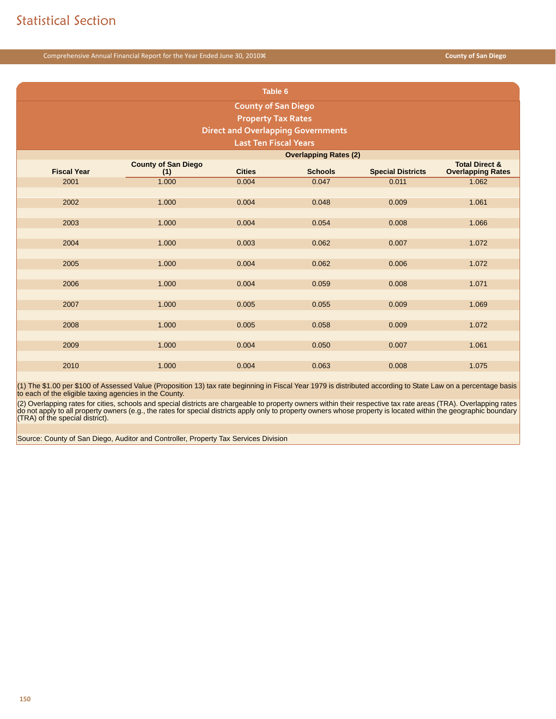|                              |                                                                                                                                                           | Table 6                    |                                           |       |       |  |  |  |  |  |  |  |
|------------------------------|-----------------------------------------------------------------------------------------------------------------------------------------------------------|----------------------------|-------------------------------------------|-------|-------|--|--|--|--|--|--|--|
|                              |                                                                                                                                                           | <b>County of San Diego</b> |                                           |       |       |  |  |  |  |  |  |  |
|                              |                                                                                                                                                           | <b>Property Tax Rates</b>  |                                           |       |       |  |  |  |  |  |  |  |
|                              |                                                                                                                                                           |                            | <b>Direct and Overlapping Governments</b> |       |       |  |  |  |  |  |  |  |
| <b>Last Ten Fiscal Years</b> |                                                                                                                                                           |                            |                                           |       |       |  |  |  |  |  |  |  |
| <b>Overlapping Rates (2)</b> |                                                                                                                                                           |                            |                                           |       |       |  |  |  |  |  |  |  |
| <b>Fiscal Year</b>           | <b>County of San Diego</b><br><b>Total Direct &amp;</b><br><b>Cities</b><br><b>Special Districts</b><br><b>Schools</b><br><b>Overlapping Rates</b><br>(1) |                            |                                           |       |       |  |  |  |  |  |  |  |
| 2001                         | 1.000                                                                                                                                                     | 0.004                      | 0.047                                     | 0.011 | 1.062 |  |  |  |  |  |  |  |
|                              |                                                                                                                                                           |                            |                                           |       |       |  |  |  |  |  |  |  |
| 2002                         | 1.000                                                                                                                                                     | 0.004                      | 0.048                                     | 0.009 | 1.061 |  |  |  |  |  |  |  |
| 2003                         | 1.000                                                                                                                                                     | 0.004                      | 0.054                                     | 0.008 | 1.066 |  |  |  |  |  |  |  |
|                              |                                                                                                                                                           |                            |                                           |       |       |  |  |  |  |  |  |  |
| 2004                         | 1.000                                                                                                                                                     | 0.003                      | 0.062                                     | 0.007 | 1.072 |  |  |  |  |  |  |  |
|                              |                                                                                                                                                           |                            |                                           |       |       |  |  |  |  |  |  |  |
| 2005                         | 1.000                                                                                                                                                     | 0.004                      | 0.062                                     | 0.006 | 1.072 |  |  |  |  |  |  |  |
|                              |                                                                                                                                                           |                            |                                           |       |       |  |  |  |  |  |  |  |
| 2006                         | 1.000                                                                                                                                                     | 0.004                      | 0.059                                     | 0.008 | 1.071 |  |  |  |  |  |  |  |
| 2007                         | 1.000                                                                                                                                                     | 0.005                      | 0.055                                     | 0.009 | 1.069 |  |  |  |  |  |  |  |
|                              |                                                                                                                                                           |                            |                                           |       |       |  |  |  |  |  |  |  |
| 2008                         | 1.000                                                                                                                                                     | 0.005                      | 0.058                                     | 0.009 | 1.072 |  |  |  |  |  |  |  |
|                              |                                                                                                                                                           |                            |                                           |       |       |  |  |  |  |  |  |  |
| 2009                         | 1.000                                                                                                                                                     | 0.004                      | 0.050                                     | 0.007 | 1.061 |  |  |  |  |  |  |  |
| 2010                         | 1.000                                                                                                                                                     | 0.004                      | 0.063                                     | 0.008 | 1.075 |  |  |  |  |  |  |  |
|                              |                                                                                                                                                           |                            |                                           |       |       |  |  |  |  |  |  |  |

(1) The \$1.00 per \$100 of Assessed Value (Proposition 13) tax rate beginning in Fiscal Year 1979 is distributed according to State Law on a percentage basis to each of the eligible taxing agencies in the County.

(2) Overlapping rates for cities, schools and special districts are chargeable to property owners within their respective tax rate areas (TRA). Overlapping rates<br>do not apply to all property owners (e.g., the rates for spe

Source: County of San Diego, Auditor and Controller, Property Tax Services Division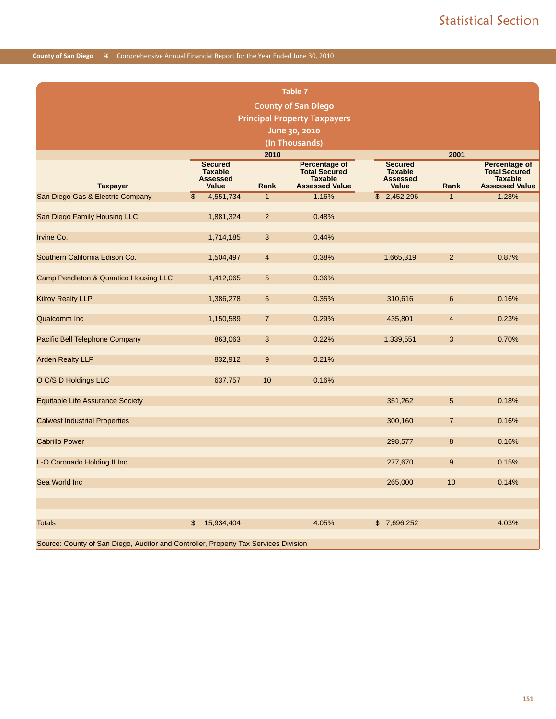|                                                                                                                |                                                                     |                | Table 7                                                                          |                                                                     |                |                                                                                  |  |  |  |  |  |  |  |
|----------------------------------------------------------------------------------------------------------------|---------------------------------------------------------------------|----------------|----------------------------------------------------------------------------------|---------------------------------------------------------------------|----------------|----------------------------------------------------------------------------------|--|--|--|--|--|--|--|
|                                                                                                                |                                                                     |                | <b>County of San Diego</b>                                                       |                                                                     |                |                                                                                  |  |  |  |  |  |  |  |
|                                                                                                                |                                                                     |                | <b>Principal Property Taxpayers</b>                                              |                                                                     |                |                                                                                  |  |  |  |  |  |  |  |
|                                                                                                                |                                                                     |                | June 30, 2010                                                                    |                                                                     |                |                                                                                  |  |  |  |  |  |  |  |
|                                                                                                                |                                                                     |                | (In Thousands)                                                                   |                                                                     |                |                                                                                  |  |  |  |  |  |  |  |
|                                                                                                                |                                                                     | 2010           |                                                                                  |                                                                     | 2001           |                                                                                  |  |  |  |  |  |  |  |
| <b>Taxpayer</b>                                                                                                | <b>Secured</b><br><b>Taxable</b><br><b>Assessed</b><br><b>Value</b> | Rank           | Percentage of<br><b>Total Secured</b><br><b>Taxable</b><br><b>Assessed Value</b> | <b>Secured</b><br><b>Taxable</b><br><b>Assessed</b><br><b>Value</b> | Rank           | Percentage of<br><b>Total Secured</b><br><b>Taxable</b><br><b>Assessed Value</b> |  |  |  |  |  |  |  |
| San Diego Gas & Electric Company                                                                               | $\mathfrak{L}$<br>4,551,734                                         | $\mathbf{1}$   | 1.16%                                                                            | \$2,452,296                                                         | $\mathbf{1}$   | 1.28%                                                                            |  |  |  |  |  |  |  |
| San Diego Family Housing LLC                                                                                   | 1,881,324                                                           | $\overline{2}$ | 0.48%                                                                            |                                                                     |                |                                                                                  |  |  |  |  |  |  |  |
| Irvine Co.<br>0.44%<br>1,714,185<br>3                                                                          |                                                                     |                |                                                                                  |                                                                     |                |                                                                                  |  |  |  |  |  |  |  |
|                                                                                                                |                                                                     |                |                                                                                  |                                                                     |                |                                                                                  |  |  |  |  |  |  |  |
| $\overline{2}$<br>Southern California Edison Co.<br>0.38%<br>1,665,319<br>0.87%<br>1,504,497<br>$\overline{4}$ |                                                                     |                |                                                                                  |                                                                     |                |                                                                                  |  |  |  |  |  |  |  |
| Camp Pendleton & Quantico Housing LLC                                                                          | 1,412,065                                                           | 5              | 0.36%                                                                            |                                                                     |                |                                                                                  |  |  |  |  |  |  |  |
| <b>Kilroy Realty LLP</b>                                                                                       | 1,386,278                                                           | 6              | 0.35%                                                                            | 310,616                                                             | 6              | 0.16%                                                                            |  |  |  |  |  |  |  |
|                                                                                                                |                                                                     |                |                                                                                  |                                                                     |                |                                                                                  |  |  |  |  |  |  |  |
| Qualcomm Inc                                                                                                   | 1,150,589                                                           | $\overline{7}$ | 0.29%                                                                            | 435,801                                                             | $\overline{4}$ | 0.23%                                                                            |  |  |  |  |  |  |  |
| Pacific Bell Telephone Company                                                                                 | 863,063                                                             | 8              | 0.22%                                                                            | 1,339,551                                                           | 3              | 0.70%                                                                            |  |  |  |  |  |  |  |
| <b>Arden Realty LLP</b>                                                                                        | 832,912                                                             | $9\,$          | 0.21%                                                                            |                                                                     |                |                                                                                  |  |  |  |  |  |  |  |
| O C/S D Holdings LLC                                                                                           | 637,757                                                             | 10             | 0.16%                                                                            |                                                                     |                |                                                                                  |  |  |  |  |  |  |  |
| Equitable Life Assurance Society                                                                               |                                                                     |                |                                                                                  | 351,262                                                             | 5              | 0.18%                                                                            |  |  |  |  |  |  |  |
|                                                                                                                |                                                                     |                |                                                                                  |                                                                     |                |                                                                                  |  |  |  |  |  |  |  |
| <b>Calwest Industrial Properties</b>                                                                           |                                                                     |                |                                                                                  | 300,160                                                             | $\overline{7}$ | 0.16%                                                                            |  |  |  |  |  |  |  |
| <b>Cabrillo Power</b>                                                                                          |                                                                     |                |                                                                                  | 298,577                                                             | 8              | 0.16%                                                                            |  |  |  |  |  |  |  |
|                                                                                                                |                                                                     |                |                                                                                  |                                                                     |                |                                                                                  |  |  |  |  |  |  |  |
| L-O Coronado Holding II Inc                                                                                    |                                                                     |                |                                                                                  | 277,670                                                             | 9              | 0.15%                                                                            |  |  |  |  |  |  |  |
| Sea World Inc                                                                                                  |                                                                     |                |                                                                                  | 265,000                                                             | 10             | 0.14%                                                                            |  |  |  |  |  |  |  |
|                                                                                                                |                                                                     |                |                                                                                  |                                                                     |                |                                                                                  |  |  |  |  |  |  |  |
|                                                                                                                |                                                                     |                |                                                                                  |                                                                     |                |                                                                                  |  |  |  |  |  |  |  |
| Totals                                                                                                         | \$<br>15,934,404                                                    |                | 4.05%                                                                            | $\mathsf{\$}$<br>7,696,252                                          |                | 4.03%                                                                            |  |  |  |  |  |  |  |
| Source: County of San Diego, Auditor and Controller, Property Tax Services Division                            |                                                                     |                |                                                                                  |                                                                     |                |                                                                                  |  |  |  |  |  |  |  |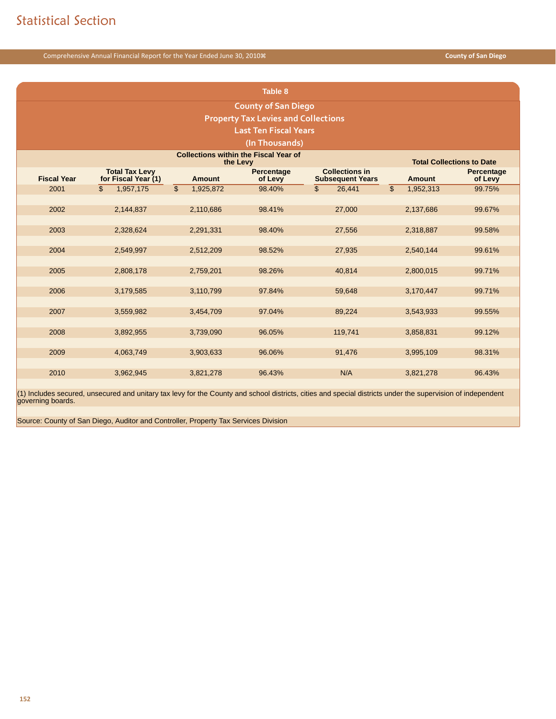|                                            |                                              |                 | Table 8                                                  |                                                  |                             |                                  |  |  |  |  |  |
|--------------------------------------------|----------------------------------------------|-----------------|----------------------------------------------------------|--------------------------------------------------|-----------------------------|----------------------------------|--|--|--|--|--|
|                                            |                                              |                 | <b>County of San Diego</b>                               |                                                  |                             |                                  |  |  |  |  |  |
| <b>Property Tax Levies and Collections</b> |                                              |                 |                                                          |                                                  |                             |                                  |  |  |  |  |  |
|                                            |                                              |                 | <b>Last Ten Fiscal Years</b>                             |                                                  |                             |                                  |  |  |  |  |  |
|                                            |                                              |                 | (In Thousands)                                           |                                                  |                             |                                  |  |  |  |  |  |
|                                            |                                              |                 | <b>Collections within the Fiscal Year of</b><br>the Levy |                                                  |                             | <b>Total Collections to Date</b> |  |  |  |  |  |
| <b>Fiscal Year</b>                         | <b>Total Tax Levy</b><br>for Fiscal Year (1) | Amount          | Percentage<br>of Levy                                    | <b>Collections in</b><br><b>Subsequent Years</b> | <b>Amount</b>               | Percentage<br>of Levy            |  |  |  |  |  |
| 2001                                       | $\mathfrak{S}$<br>1,957,175                  | \$<br>1,925,872 | 98.40%                                                   | $\mathfrak{L}$<br>26,441                         | $\mathfrak{S}$<br>1,952,313 | 99.75%                           |  |  |  |  |  |
| 2002                                       | 2,144,837                                    | 2,110,686       | 98.41%                                                   | 27,000                                           | 2,137,686                   | 99.67%                           |  |  |  |  |  |
|                                            |                                              |                 |                                                          |                                                  |                             |                                  |  |  |  |  |  |
| 2003                                       | 2,328,624                                    | 2,291,331       | 98.40%                                                   | 27,556                                           | 2,318,887                   | 99.58%                           |  |  |  |  |  |
|                                            |                                              |                 |                                                          |                                                  |                             |                                  |  |  |  |  |  |
| 2004                                       | 2,549,997                                    | 2,512,209       | 98.52%                                                   | 27,935                                           | 2,540,144                   | 99.61%                           |  |  |  |  |  |
| 2005                                       | 2,808,178                                    | 2,759,201       | 98.26%                                                   | 40,814                                           | 2,800,015                   | 99.71%                           |  |  |  |  |  |
|                                            |                                              |                 |                                                          |                                                  |                             |                                  |  |  |  |  |  |
| 2006                                       | 3,179,585                                    | 3,110,799       | 97.84%                                                   | 59,648                                           | 3,170,447                   | 99.71%                           |  |  |  |  |  |
|                                            |                                              |                 |                                                          |                                                  |                             |                                  |  |  |  |  |  |
| 2007                                       | 3,559,982                                    | 3,454,709       | 97.04%                                                   | 89,224                                           | 3,543,933                   | 99.55%                           |  |  |  |  |  |
| 2008                                       | 3,892,955                                    | 3,739,090       | 96.05%                                                   | 119,741                                          | 3,858,831                   | 99.12%                           |  |  |  |  |  |
|                                            |                                              |                 |                                                          |                                                  |                             |                                  |  |  |  |  |  |
| 2009                                       | 4,063,749                                    | 3,903,633       | 96.06%                                                   | 91,476                                           | 3,995,109                   | 98.31%                           |  |  |  |  |  |
|                                            |                                              |                 |                                                          | N/A                                              |                             |                                  |  |  |  |  |  |
| 2010                                       | 3,962,945                                    | 3,821,278       | 96.43%                                                   |                                                  | 3,821,278                   | 96.43%                           |  |  |  |  |  |

(1) Includes secured, unsecured and unitary tax levy for the County and school districts, cities and special districts under the supervision of independent governing boards.

Source: County of San Diego, Auditor and Controller, Property Tax Services Division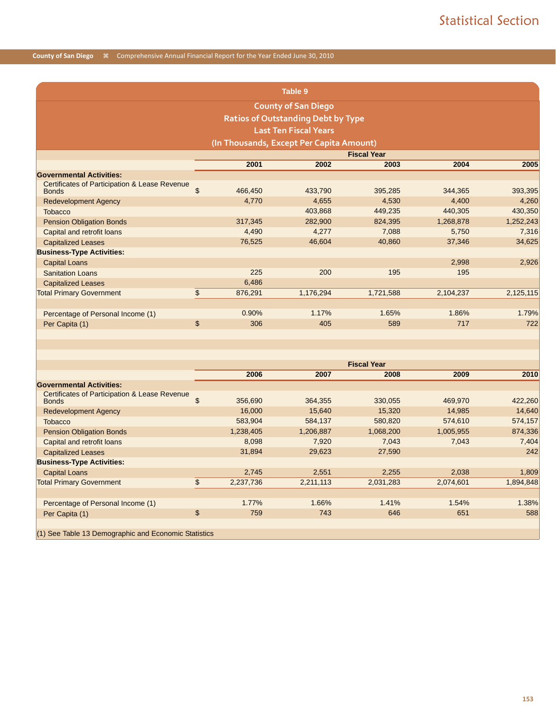|                                                                          |                                          |         | Table 9                                   |           |           |           |  |  |  |  |  |
|--------------------------------------------------------------------------|------------------------------------------|---------|-------------------------------------------|-----------|-----------|-----------|--|--|--|--|--|
|                                                                          |                                          |         | <b>County of San Diego</b>                |           |           |           |  |  |  |  |  |
|                                                                          |                                          |         | <b>Ratios of Outstanding Debt by Type</b> |           |           |           |  |  |  |  |  |
|                                                                          |                                          |         | <b>Last Ten Fiscal Years</b>              |           |           |           |  |  |  |  |  |
|                                                                          | (In Thousands, Except Per Capita Amount) |         |                                           |           |           |           |  |  |  |  |  |
| <b>Fiscal Year</b>                                                       |                                          |         |                                           |           |           |           |  |  |  |  |  |
| 2001<br>2004<br>2005<br>2002<br>2003                                     |                                          |         |                                           |           |           |           |  |  |  |  |  |
| <b>Governmental Activities:</b>                                          |                                          |         |                                           |           |           |           |  |  |  |  |  |
| <b>Certificates of Participation &amp; Lease Revenue</b><br><b>Bonds</b> | \$                                       | 466,450 | 433,790                                   | 395,285   | 344,365   | 393,395   |  |  |  |  |  |
| <b>Redevelopment Agency</b>                                              |                                          | 4.770   | 4,655                                     | 4.530     | 4.400     | 4,260     |  |  |  |  |  |
| Tobacco                                                                  |                                          |         | 403,868                                   | 449,235   | 440,305   | 430,350   |  |  |  |  |  |
| <b>Pension Obligation Bonds</b>                                          |                                          | 317,345 | 282,900                                   | 824,395   | 1,268,878 | 1,252,243 |  |  |  |  |  |
| Capital and retrofit loans                                               |                                          | 4,490   | 4,277                                     | 7,088     | 5,750     | 7,316     |  |  |  |  |  |
| <b>Capitalized Leases</b>                                                |                                          | 76,525  | 46,604                                    | 40,860    | 37,346    | 34,625    |  |  |  |  |  |
| <b>Business-Type Activities:</b>                                         |                                          |         |                                           |           |           |           |  |  |  |  |  |
| <b>Capital Loans</b>                                                     |                                          |         |                                           |           | 2,998     | 2,926     |  |  |  |  |  |
| <b>Sanitation Loans</b>                                                  |                                          | 225     | 200                                       | 195       | 195       |           |  |  |  |  |  |
| <b>Capitalized Leases</b>                                                |                                          | 6,486   |                                           |           |           |           |  |  |  |  |  |
| <b>Total Primary Government</b>                                          | \$                                       | 876,291 | 1,176,294                                 | 1,721,588 | 2,104,237 | 2,125,115 |  |  |  |  |  |
|                                                                          |                                          |         |                                           |           |           |           |  |  |  |  |  |
| Percentage of Personal Income (1)                                        |                                          | 0.90%   | 1.17%                                     | 1.65%     | 1.86%     | 1.79%     |  |  |  |  |  |
| Per Capita (1)                                                           | \$                                       | 306     | 405                                       | 589       | 717       | 722       |  |  |  |  |  |
|                                                                          |                                          |         |                                           |           |           |           |  |  |  |  |  |
|                                                                          |                                          |         |                                           |           |           |           |  |  |  |  |  |

|                                                               |                |           |           | <b>Fiscal Year</b> |           |           |
|---------------------------------------------------------------|----------------|-----------|-----------|--------------------|-----------|-----------|
|                                                               |                | 2006      | 2007      | 2008               | 2009      | 2010      |
| <b>Governmental Activities:</b>                               |                |           |           |                    |           |           |
| Certificates of Participation & Lease Revenue<br><b>Bonds</b> | \$             | 356,690   | 364,355   | 330,055            | 469,970   | 422,260   |
| <b>Redevelopment Agency</b>                                   |                | 16,000    | 15,640    | 15,320             | 14,985    | 14,640    |
| <b>Tobacco</b>                                                |                | 583,904   | 584,137   | 580,820            | 574,610   | 574,157   |
| <b>Pension Obligation Bonds</b>                               |                | 1,238,405 | 1,206,887 | 1,068,200          | 1,005,955 | 874,336   |
| Capital and retrofit loans                                    |                | 8,098     | 7,920     | 7,043              | 7,043     | 7,404     |
| <b>Capitalized Leases</b>                                     |                | 31,894    | 29,623    | 27,590             |           | 242       |
| <b>Business-Type Activities:</b>                              |                |           |           |                    |           |           |
| <b>Capital Loans</b>                                          |                | 2,745     | 2,551     | 2,255              | 2,038     | 1,809     |
| <b>Total Primary Government</b>                               | $\mathfrak{S}$ | 2,237,736 | 2,211,113 | 2,031,283          | 2,074,601 | 1,894,848 |
|                                                               |                |           |           |                    |           |           |
| Percentage of Personal Income (1)                             |                | 1.77%     | 1.66%     | 1.41%              | 1.54%     | 1.38%     |
| Per Capita (1)                                                | \$             | 759       | 743       | 646                | 651       | 588       |
|                                                               |                |           |           |                    |           |           |
| (1) See Table 13 Demographic and Economic Statistics          |                |           |           |                    |           |           |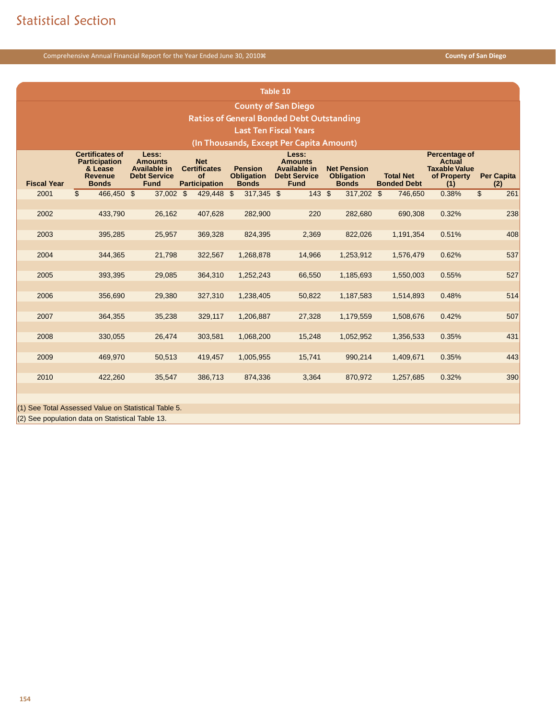|                    |                                                                                                                                                                                                                                                                                                                                                                                                                                                                                                                                                                                                                  |             |              |              | Table 10                                         |            |           |       |                        |  |
|--------------------|------------------------------------------------------------------------------------------------------------------------------------------------------------------------------------------------------------------------------------------------------------------------------------------------------------------------------------------------------------------------------------------------------------------------------------------------------------------------------------------------------------------------------------------------------------------------------------------------------------------|-------------|--------------|--------------|--------------------------------------------------|------------|-----------|-------|------------------------|--|
|                    |                                                                                                                                                                                                                                                                                                                                                                                                                                                                                                                                                                                                                  |             |              |              | <b>County of San Diego</b>                       |            |           |       |                        |  |
|                    |                                                                                                                                                                                                                                                                                                                                                                                                                                                                                                                                                                                                                  |             |              |              | <b>Ratios of General Bonded Debt Outstanding</b> |            |           |       |                        |  |
|                    |                                                                                                                                                                                                                                                                                                                                                                                                                                                                                                                                                                                                                  |             |              |              | <b>Last Ten Fiscal Years</b>                     |            |           |       |                        |  |
|                    |                                                                                                                                                                                                                                                                                                                                                                                                                                                                                                                                                                                                                  |             |              |              | (In Thousands, Except Per Capita Amount)         |            |           |       |                        |  |
| <b>Fiscal Year</b> | <b>Certificates of</b><br>Less:<br>Less:<br>Percentage of<br>Actual<br><b>Participation</b><br><b>Amounts</b><br><b>Net</b><br><b>Amounts</b><br>Available in<br><b>Certificates</b><br><b>Taxable Value</b><br><b>Pension</b><br>Available in<br><b>Net Pension</b><br>& Lease<br><b>Per Capita</b><br><b>Debt Service</b><br><b>of</b><br><b>Obligation</b><br><b>Debt Service</b><br><b>Obligation</b><br><b>Total Net</b><br>of Property<br><b>Revenue</b><br><b>Bonds</b><br><b>Fund</b><br><b>Participation</b><br><b>Fund</b><br><b>Bonded Debt</b><br><b>Bonds</b><br><b>Bonds</b><br>(2)<br>(1)<br>143S |             |              |              |                                                  |            |           |       |                        |  |
| 2001               | $\overline{\mathcal{S}}$<br>466,450 \$                                                                                                                                                                                                                                                                                                                                                                                                                                                                                                                                                                           | $37,002$ \$ | $429,448$ \$ | $317,345$ \$ |                                                  | 317,202 \$ | 746,650   | 0.38% | $\overline{\$}$<br>261 |  |
| 2002               | 433,790                                                                                                                                                                                                                                                                                                                                                                                                                                                                                                                                                                                                          | 26,162      | 407,628      | 282,900      | 220                                              | 282,680    | 690,308   | 0.32% | 238                    |  |
| 2003               | 395,285                                                                                                                                                                                                                                                                                                                                                                                                                                                                                                                                                                                                          | 25,957      | 369,328      | 824,395      | 2,369                                            | 822,026    | 1,191,354 | 0.51% | 408                    |  |
| 2004               | 344,365                                                                                                                                                                                                                                                                                                                                                                                                                                                                                                                                                                                                          | 21,798      | 322,567      | 1,268,878    | 14,966                                           | 1,253,912  | 1,576,479 | 0.62% | 537                    |  |
| 2005               | 393,395                                                                                                                                                                                                                                                                                                                                                                                                                                                                                                                                                                                                          | 29,085      | 364,310      | 1,252,243    | 66,550                                           | 1,185,693  | 1,550,003 | 0.55% | 527                    |  |
| 2006               | 356,690                                                                                                                                                                                                                                                                                                                                                                                                                                                                                                                                                                                                          | 29,380      | 327,310      | 1,238,405    | 50,822                                           | 1,187,583  | 1,514,893 | 0.48% | 514                    |  |
| 2007               | 364,355                                                                                                                                                                                                                                                                                                                                                                                                                                                                                                                                                                                                          | 35,238      | 329,117      | 1,206,887    | 27,328                                           | 1,179,559  | 1,508,676 | 0.42% | 507                    |  |
| 2008               | 330,055                                                                                                                                                                                                                                                                                                                                                                                                                                                                                                                                                                                                          | 26,474      | 303,581      | 1,068,200    | 15,248                                           | 1,052,952  | 1,356,533 | 0.35% | 431                    |  |
| 2009               | 469,970                                                                                                                                                                                                                                                                                                                                                                                                                                                                                                                                                                                                          | 50,513      | 419,457      | 1,005,955    | 15,741                                           | 990,214    | 1,409,671 | 0.35% | 443                    |  |
| 2010               | 422,260                                                                                                                                                                                                                                                                                                                                                                                                                                                                                                                                                                                                          | 35,547      | 386,713      | 874,336      | 3,364                                            | 870,972    | 1,257,685 | 0.32% | 390                    |  |
|                    | (1) See Total Assessed Value on Statistical Table 5.                                                                                                                                                                                                                                                                                                                                                                                                                                                                                                                                                             |             |              |              |                                                  |            |           |       |                        |  |

(2) See population data on Statistical Table 13.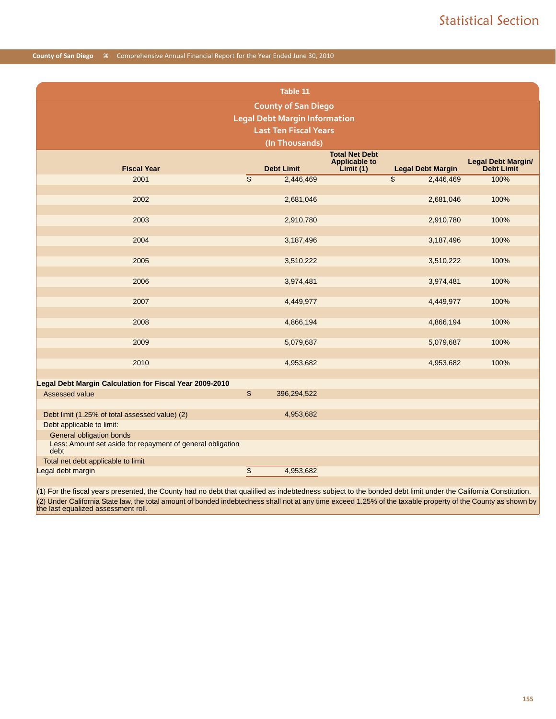|                                                                    |                          | Table 11                             |                                                           |                 |                          |                                         |
|--------------------------------------------------------------------|--------------------------|--------------------------------------|-----------------------------------------------------------|-----------------|--------------------------|-----------------------------------------|
|                                                                    |                          | <b>County of San Diego</b>           |                                                           |                 |                          |                                         |
|                                                                    |                          | <b>Legal Debt Margin Information</b> |                                                           |                 |                          |                                         |
|                                                                    |                          | <b>Last Ten Fiscal Years</b>         |                                                           |                 |                          |                                         |
|                                                                    |                          | (In Thousands)                       |                                                           |                 |                          |                                         |
| <b>Fiscal Year</b>                                                 |                          | <b>Debt Limit</b>                    | <b>Total Net Debt</b><br><b>Applicable to</b><br>Limit(1) |                 | <b>Legal Debt Margin</b> | Legal Debt Margin/<br><b>Debt Limit</b> |
| 2001                                                               | $\overline{\$}$          | 2,446,469                            |                                                           | $\overline{\$}$ | 2,446,469                | 100%                                    |
|                                                                    |                          |                                      |                                                           |                 |                          |                                         |
| 2002                                                               |                          | 2,681,046                            |                                                           |                 | 2,681,046                | 100%                                    |
|                                                                    |                          |                                      |                                                           |                 |                          |                                         |
| 2003                                                               |                          | 2,910,780                            |                                                           |                 | 2,910,780                | 100%                                    |
|                                                                    |                          |                                      |                                                           |                 |                          |                                         |
| 2004                                                               |                          | 3,187,496                            |                                                           |                 | 3,187,496                | 100%                                    |
| 2005                                                               |                          | 3,510,222                            |                                                           |                 | 3,510,222                | 100%                                    |
|                                                                    |                          |                                      |                                                           |                 |                          |                                         |
| 2006                                                               |                          | 3,974,481                            |                                                           |                 | 3,974,481                | 100%                                    |
| 2007                                                               |                          | 4,449,977                            |                                                           |                 | 4,449,977                | 100%                                    |
| 2008                                                               |                          | 4,866,194                            |                                                           |                 | 4,866,194                | 100%                                    |
| 2009                                                               |                          | 5,079,687                            |                                                           |                 | 5,079,687                | 100%                                    |
|                                                                    |                          |                                      |                                                           |                 |                          |                                         |
| 2010                                                               |                          | 4,953,682                            |                                                           |                 | 4,953,682                | 100%                                    |
| Legal Debt Margin Calculation for Fiscal Year 2009-2010            |                          |                                      |                                                           |                 |                          |                                         |
| Assessed value                                                     | \$                       | 396,294,522                          |                                                           |                 |                          |                                         |
| Debt limit (1.25% of total assessed value) (2)                     |                          | 4,953,682                            |                                                           |                 |                          |                                         |
| Debt applicable to limit:                                          |                          |                                      |                                                           |                 |                          |                                         |
| General obligation bonds                                           |                          |                                      |                                                           |                 |                          |                                         |
| Less: Amount set aside for repayment of general obligation<br>debt |                          |                                      |                                                           |                 |                          |                                         |
| Total net debt applicable to limit                                 |                          |                                      |                                                           |                 |                          |                                         |
| Legal debt margin                                                  | $\overline{\mathcal{L}}$ | 4,953,682                            |                                                           |                 |                          |                                         |

(1) For the fiscal years presented, the County had no debt that qualified as indebtedness subject to the bonded debt limit under the California Constitution. (2) Under California State law, the total amount of bonded indebtedness shall not at any time exceed 1.25% of the taxable property of the County as shown by the last equalized assessment roll.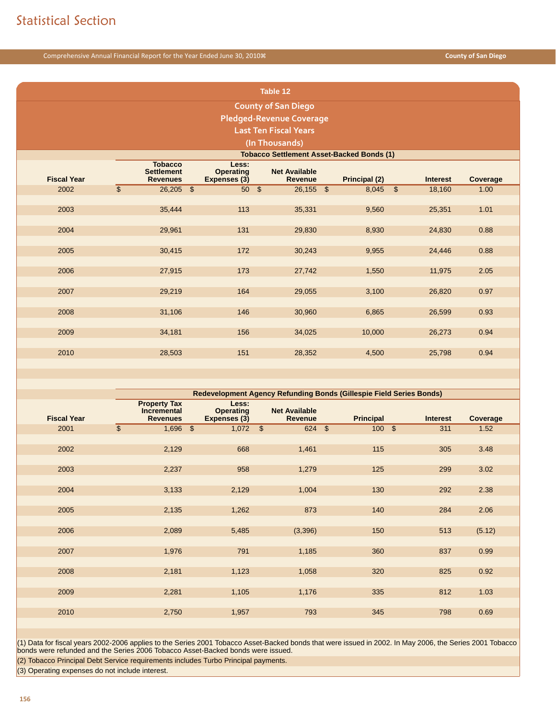| Table 12                        |                            |                                                        |  |                                           |  |                                        |  |                                                  |                          |                 |          |
|---------------------------------|----------------------------|--------------------------------------------------------|--|-------------------------------------------|--|----------------------------------------|--|--------------------------------------------------|--------------------------|-----------------|----------|
|                                 | <b>County of San Diego</b> |                                                        |  |                                           |  |                                        |  |                                                  |                          |                 |          |
| <b>Pledged-Revenue Coverage</b> |                            |                                                        |  |                                           |  |                                        |  |                                                  |                          |                 |          |
|                                 |                            |                                                        |  |                                           |  | <b>Last Ten Fiscal Years</b>           |  |                                                  |                          |                 |          |
|                                 |                            |                                                        |  |                                           |  | (In Thousands)                         |  |                                                  |                          |                 |          |
|                                 |                            |                                                        |  |                                           |  |                                        |  | <b>Tobacco Settlement Asset-Backed Bonds (1)</b> |                          |                 |          |
| <b>Fiscal Year</b>              |                            | <b>Tobacco</b><br><b>Settlement</b><br><b>Revenues</b> |  | Less:<br><b>Operating</b><br>Expenses (3) |  | <b>Net Available</b><br><b>Revenue</b> |  | Principal (2)                                    |                          | <b>Interest</b> | Coverage |
| 2002                            | $\overline{\$}$            | $26,205$ \$                                            |  | 50 <sup>5</sup>                           |  | $26,155$ \$                            |  | 8,045                                            | $\overline{\mathcal{S}}$ | 18,160          | 1.00     |
|                                 |                            |                                                        |  |                                           |  |                                        |  |                                                  |                          |                 |          |
| 2003                            |                            | 35,444                                                 |  | 113                                       |  | 35,331                                 |  | 9,560                                            |                          | 25,351          | 1.01     |
|                                 |                            |                                                        |  |                                           |  |                                        |  |                                                  |                          |                 |          |
| 2004                            |                            | 29,961                                                 |  | 131                                       |  | 29,830                                 |  | 8,930                                            |                          | 24,830          | 0.88     |
| 2005                            |                            | 30,415                                                 |  | 172                                       |  | 30,243                                 |  | 9,955                                            |                          | 24,446          | 0.88     |
|                                 |                            |                                                        |  |                                           |  |                                        |  |                                                  |                          |                 |          |
| 2006                            |                            | 27,915                                                 |  | 173                                       |  | 27,742                                 |  | 1,550                                            |                          | 11,975          | 2.05     |
|                                 |                            |                                                        |  |                                           |  |                                        |  |                                                  |                          |                 |          |
| 2007                            |                            | 29,219                                                 |  | 164                                       |  | 29,055                                 |  | 3,100                                            |                          | 26,820          | 0.97     |
|                                 |                            |                                                        |  |                                           |  |                                        |  |                                                  |                          |                 |          |
| 2008                            |                            | 31,106                                                 |  | 146                                       |  | 30,960                                 |  | 6,865                                            |                          | 26,599          | 0.93     |
| 2009                            |                            | 34,181                                                 |  | 156                                       |  | 34,025                                 |  | 10,000                                           |                          | 26,273          | 0.94     |
|                                 |                            |                                                        |  |                                           |  |                                        |  |                                                  |                          |                 |          |
| 2010                            |                            | 28,503                                                 |  | 151                                       |  | 28,352                                 |  | 4,500                                            |                          | 25,798          | 0.94     |
|                                 |                            |                                                        |  |                                           |  |                                        |  |                                                  |                          |                 |          |

|                    |                                                              | <b>Redevelopment Agency Refunding Bonds (Gillespie Field Series Bonds)</b> |                          |                                        |                  |                 |          |  |  |
|--------------------|--------------------------------------------------------------|----------------------------------------------------------------------------|--------------------------|----------------------------------------|------------------|-----------------|----------|--|--|
| <b>Fiscal Year</b> | <b>Property Tax</b><br><b>Incremental</b><br><b>Revenues</b> | Less:<br><b>Operating</b><br>Expenses (3)                                  |                          | <b>Net Available</b><br><b>Revenue</b> | <b>Principal</b> | <b>Interest</b> | Coverage |  |  |
| 2001               | $\overline{\mathcal{S}}$<br>1,696                            | $\overline{\mathcal{S}}$<br>1,072                                          | $\overline{\mathcal{S}}$ | $624$ \$                               | 100S             | 311             | 1.52     |  |  |
|                    |                                                              |                                                                            |                          |                                        |                  |                 |          |  |  |
| 2002               | 2,129                                                        | 668                                                                        |                          | 1,461                                  | 115              | 305             | 3.48     |  |  |
|                    |                                                              |                                                                            |                          |                                        |                  |                 |          |  |  |
| 2003               | 2,237                                                        | 958                                                                        |                          | 1,279                                  | 125              | 299             | 3.02     |  |  |
|                    |                                                              |                                                                            |                          |                                        |                  |                 |          |  |  |
| 2004               | 3,133                                                        | 2,129                                                                      |                          | 1,004                                  | 130              | 292             | 2.38     |  |  |
|                    |                                                              |                                                                            |                          |                                        |                  |                 |          |  |  |
| 2005               | 2,135                                                        | 1,262                                                                      |                          | 873                                    | 140              | 284             | 2.06     |  |  |
|                    |                                                              |                                                                            |                          |                                        |                  |                 |          |  |  |
| 2006               | 2,089                                                        | 5,485                                                                      |                          | (3,396)                                | 150              | 513             | (5.12)   |  |  |
|                    |                                                              |                                                                            |                          |                                        |                  |                 |          |  |  |
| 2007               | 1,976                                                        | 791                                                                        |                          | 1,185                                  | 360              | 837             | 0.99     |  |  |
|                    |                                                              |                                                                            |                          |                                        |                  |                 |          |  |  |
| 2008               | 2,181                                                        | 1,123                                                                      |                          | 1,058                                  | 320              | 825             | 0.92     |  |  |
|                    |                                                              |                                                                            |                          |                                        |                  |                 |          |  |  |
| 2009               | 2,281                                                        | 1,105                                                                      |                          | 1,176                                  | 335              | 812             | 1.03     |  |  |
|                    |                                                              |                                                                            |                          |                                        |                  |                 |          |  |  |
| 2010               | 2,750                                                        | 1,957                                                                      |                          | 793                                    | 345              | 798             | 0.69     |  |  |
|                    |                                                              |                                                                            |                          |                                        |                  |                 |          |  |  |

(1) Data for fiscal years 2002-2006 applies to the Series 2001 Tobacco Asset-Backed bonds that were issued in 2002. In May 2006, the Series 2001 Tobacco<br>bonds were refunded and the Series 2006 Tobacco Asset-Backed bonds we

(2) Tobacco Principal Debt Service requirements includes Turbo Principal payments.

(3) Operating expenses do not include interest.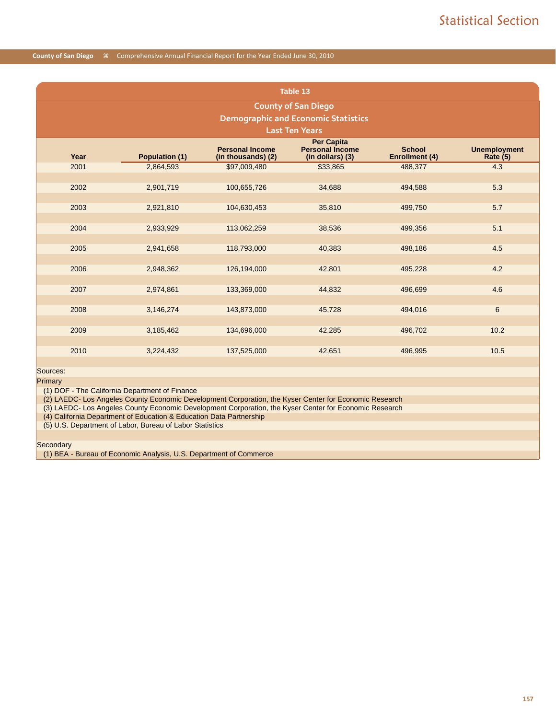|      | Table 13                                   |                                              |                                            |                                 |                                   |  |  |  |  |  |
|------|--------------------------------------------|----------------------------------------------|--------------------------------------------|---------------------------------|-----------------------------------|--|--|--|--|--|
|      | <b>County of San Diego</b>                 |                                              |                                            |                                 |                                   |  |  |  |  |  |
|      | <b>Demographic and Economic Statistics</b> |                                              |                                            |                                 |                                   |  |  |  |  |  |
|      | <b>Last Ten Years</b>                      |                                              |                                            |                                 |                                   |  |  |  |  |  |
|      |                                            |                                              | <b>Per Capita</b>                          |                                 |                                   |  |  |  |  |  |
| Year | <b>Population (1)</b>                      | <b>Personal Income</b><br>(in thousands) (2) | <b>Personal Income</b><br>(in dollars) (3) | <b>School</b><br>Enrollment (4) | <b>Unemployment</b><br>Rate $(5)$ |  |  |  |  |  |
| 2001 | 2,864,593                                  | \$97,009,480                                 | \$33,865                                   | 488,377                         | 4.3                               |  |  |  |  |  |
|      |                                            |                                              |                                            |                                 |                                   |  |  |  |  |  |
| 2002 | 2,901,719                                  | 100,655,726                                  | 34,688                                     | 494,588                         | 5.3                               |  |  |  |  |  |
|      |                                            |                                              |                                            |                                 |                                   |  |  |  |  |  |
| 2003 | 2,921,810                                  | 104,630,453                                  | 35,810                                     | 499,750                         | 5.7                               |  |  |  |  |  |
| 2004 |                                            |                                              |                                            |                                 | 5.1                               |  |  |  |  |  |
|      | 2,933,929                                  | 113,062,259                                  | 38,536                                     | 499,356                         |                                   |  |  |  |  |  |
| 2005 | 2,941,658                                  | 118,793,000                                  | 40,383                                     | 498,186                         | 4.5                               |  |  |  |  |  |
|      |                                            |                                              |                                            |                                 |                                   |  |  |  |  |  |
| 2006 | 2,948,362                                  | 126,194,000                                  | 42,801                                     | 495,228                         | 4.2                               |  |  |  |  |  |
|      |                                            |                                              |                                            |                                 |                                   |  |  |  |  |  |
| 2007 | 2,974,861                                  | 133,369,000                                  | 44,832                                     | 496,699                         | 4.6                               |  |  |  |  |  |
|      |                                            |                                              |                                            |                                 |                                   |  |  |  |  |  |
| 2008 | 3,146,274                                  | 143,873,000                                  | 45,728                                     | 494,016                         | 6                                 |  |  |  |  |  |
|      |                                            |                                              |                                            |                                 |                                   |  |  |  |  |  |
| 2009 | 3,185,462                                  | 134,696,000                                  | 42,285                                     | 496,702                         | 10.2                              |  |  |  |  |  |
|      |                                            |                                              |                                            |                                 |                                   |  |  |  |  |  |
| 2010 | 3,224,432                                  | 137,525,000                                  | 42,651                                     | 496,995                         | 10.5                              |  |  |  |  |  |
|      |                                            |                                              |                                            |                                 |                                   |  |  |  |  |  |

Sources: Primary

(1) DOF - The California Department of Finance

(2) LAEDC- Los Angeles County Economic Development Corporation, the Kyser Center for Economic Research

(3) LAEDC- Los Angeles County Economic Development Corporation, the Kyser Center for Economic Research

(4) California Department of Education & Education Data Partnership

(5) U.S. Department of Labor, Bureau of Labor Statistics

**Secondary** 

(1) BEA - Bureau of Economic Analysis, U.S. Department of Commerce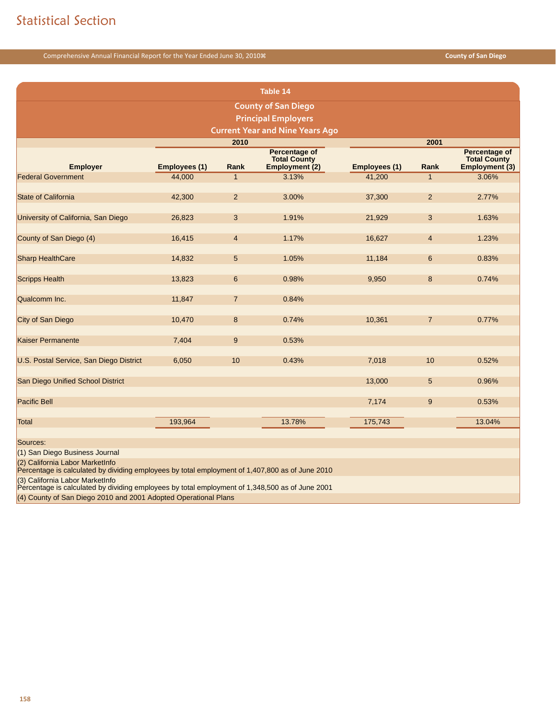|                                                                                                                                    | Table 14             |                |                                                               |                      |                |                                                        |  |  |  |
|------------------------------------------------------------------------------------------------------------------------------------|----------------------|----------------|---------------------------------------------------------------|----------------------|----------------|--------------------------------------------------------|--|--|--|
|                                                                                                                                    |                      |                | <b>County of San Diego</b>                                    |                      |                |                                                        |  |  |  |
|                                                                                                                                    |                      |                | <b>Principal Employers</b>                                    |                      |                |                                                        |  |  |  |
|                                                                                                                                    |                      |                | <b>Current Year and Nine Years Ago</b>                        |                      |                |                                                        |  |  |  |
|                                                                                                                                    |                      | 2010           |                                                               |                      | 2001           |                                                        |  |  |  |
| <b>Employer</b>                                                                                                                    | <b>Employees (1)</b> | Rank           | <b>Percentage of</b><br><b>Total County</b><br>Employment (2) | <b>Employees (1)</b> | Rank           | Percentage of<br><b>Total County</b><br>Employment (3) |  |  |  |
| <b>Federal Government</b>                                                                                                          | 44,000               | $\mathbf{1}$   | 3.13%                                                         | 41,200               | $\mathbf{1}$   | 3.06%                                                  |  |  |  |
| <b>State of California</b>                                                                                                         | 42,300               | $\overline{2}$ | 3.00%                                                         | 37,300               | 2              | 2.77%                                                  |  |  |  |
| University of California, San Diego                                                                                                | 26,823               | 3              | 1.91%                                                         | 21,929               | 3              | 1.63%                                                  |  |  |  |
| County of San Diego (4)                                                                                                            | 16,415               | $\overline{4}$ | 1.17%                                                         | 16,627               | $\overline{4}$ | 1.23%                                                  |  |  |  |
| <b>Sharp HealthCare</b>                                                                                                            | 14,832               | 5              | 1.05%                                                         | 11,184               | 6              | 0.83%                                                  |  |  |  |
| <b>Scripps Health</b>                                                                                                              | 13,823               | $6\phantom{1}$ | 0.98%                                                         | 9,950                | 8              | 0.74%                                                  |  |  |  |
| Qualcomm Inc.                                                                                                                      | 11,847               | $\overline{7}$ | 0.84%                                                         |                      |                |                                                        |  |  |  |
| City of San Diego                                                                                                                  | 10,470               | 8              | 0.74%                                                         | 10,361               | $\overline{7}$ | 0.77%                                                  |  |  |  |
| <b>Kaiser Permanente</b>                                                                                                           | 7,404                | 9              | 0.53%                                                         |                      |                |                                                        |  |  |  |
| U.S. Postal Service, San Diego District                                                                                            | 6,050                | 10             | 0.43%                                                         | 7,018                | 10             | 0.52%                                                  |  |  |  |
| San Diego Unified School District                                                                                                  |                      |                |                                                               | 13,000               | 5              | 0.96%                                                  |  |  |  |
| <b>Pacific Bell</b>                                                                                                                |                      |                |                                                               | 7,174                | 9              | 0.53%                                                  |  |  |  |
| Total                                                                                                                              | 193,964              |                | 13.78%                                                        | 175,743              |                | 13.04%                                                 |  |  |  |
| Sources:                                                                                                                           |                      |                |                                                               |                      |                |                                                        |  |  |  |
| (1) San Diego Business Journal                                                                                                     |                      |                |                                                               |                      |                |                                                        |  |  |  |
| (2) California Labor MarketInfo<br>Percentage is calculated by dividing employees by total employment of 1,407,800 as of June 2010 |                      |                |                                                               |                      |                |                                                        |  |  |  |
| (3) California Labor MarketInfo<br>Percentage is calculated by dividing employees by total employment of 1,348,500 as of June 2001 |                      |                |                                                               |                      |                |                                                        |  |  |  |

(4) County of San Diego 2010 and 2001 Adopted Operational Plans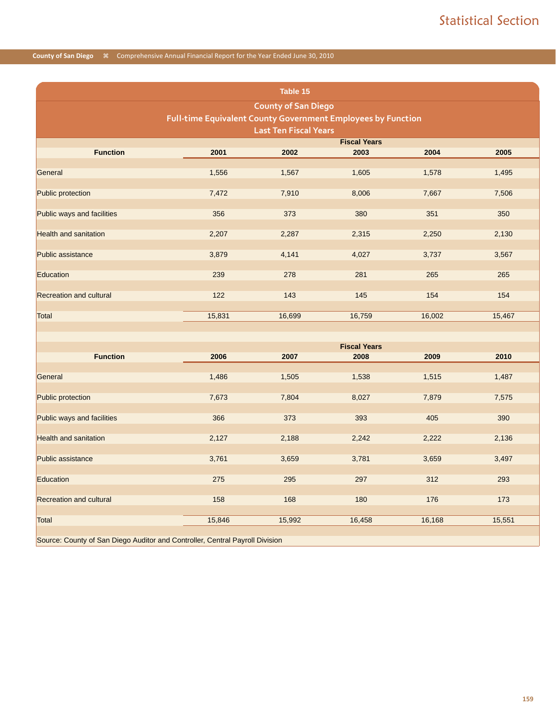|                                                                              |                                                              | Table 15                     |                             |        |        |  |  |  |  |
|------------------------------------------------------------------------------|--------------------------------------------------------------|------------------------------|-----------------------------|--------|--------|--|--|--|--|
|                                                                              |                                                              | <b>County of San Diego</b>   |                             |        |        |  |  |  |  |
|                                                                              | Full-time Equivalent County Government Employees by Function |                              |                             |        |        |  |  |  |  |
|                                                                              |                                                              | <b>Last Ten Fiscal Years</b> | <b>Fiscal Years</b>         |        |        |  |  |  |  |
| <b>Function</b>                                                              | 2001                                                         | 2002                         | 2003                        | 2004   | 2005   |  |  |  |  |
| General                                                                      | 1,556                                                        | 1,567                        | 1,605                       | 1,578  | 1,495  |  |  |  |  |
| Public protection                                                            | 7,472                                                        | 7,910                        | 8,006                       | 7,667  | 7,506  |  |  |  |  |
| Public ways and facilities                                                   | 356                                                          | 373                          | 380                         | 351    | 350    |  |  |  |  |
| <b>Health and sanitation</b>                                                 | 2,207                                                        | 2,287                        | 2,315                       | 2,250  | 2,130  |  |  |  |  |
| <b>Public assistance</b>                                                     | 3,879                                                        | 4,141                        | 4,027                       | 3,737  | 3,567  |  |  |  |  |
| Education                                                                    | 239                                                          | 278                          | 281                         | 265    | 265    |  |  |  |  |
| <b>Recreation and cultural</b>                                               | 122                                                          | 143                          | 145                         | 154    | 154    |  |  |  |  |
| Total                                                                        | 15,831                                                       | 16,699                       | 16,759                      | 16,002 | 15,467 |  |  |  |  |
|                                                                              |                                                              |                              |                             |        |        |  |  |  |  |
| <b>Function</b>                                                              | 2006                                                         | 2007                         | <b>Fiscal Years</b><br>2008 | 2009   |        |  |  |  |  |
|                                                                              |                                                              |                              |                             |        | 2010   |  |  |  |  |
| General                                                                      | 1,486                                                        | 1,505                        | 1,538                       | 1,515  | 1,487  |  |  |  |  |
| Public protection                                                            | 7,673                                                        | 7,804                        | 8,027                       | 7,879  | 7,575  |  |  |  |  |
| Public ways and facilities                                                   | 366                                                          | 373                          | 393                         | 405    | 390    |  |  |  |  |
| <b>Health and sanitation</b>                                                 | 2,127                                                        | 2,188                        | 2,242                       | 2,222  | 2,136  |  |  |  |  |
| <b>Public assistance</b>                                                     | 3,761                                                        | 3,659                        | 3,781                       | 3,659  | 3,497  |  |  |  |  |
| Education                                                                    | 275                                                          | 295                          | 297                         | 312    | 293    |  |  |  |  |
| <b>Recreation and cultural</b>                                               | 158                                                          | 168                          | 180                         | 176    | 173    |  |  |  |  |
| <b>Total</b>                                                                 | 15,846                                                       | 15,992                       | 16,458                      | 16,168 | 15,551 |  |  |  |  |
| Source: County of San Diego Auditor and Controller, Central Payroll Division |                                                              |                              |                             |        |        |  |  |  |  |

**159**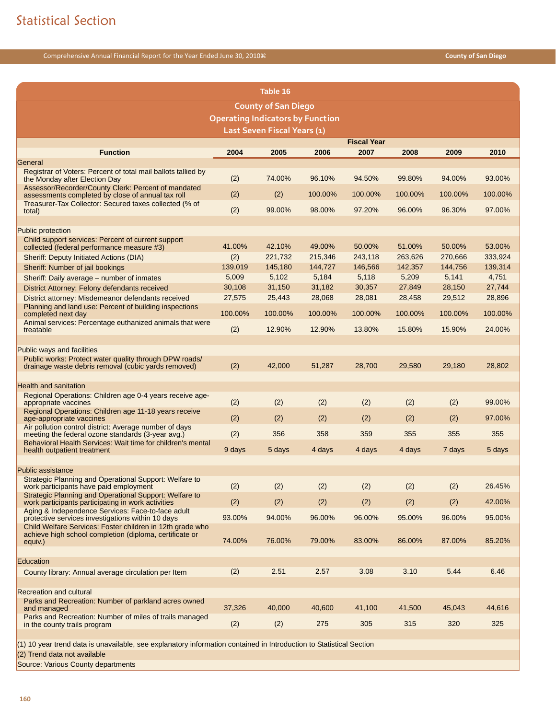|                                                                                                                      |         | Table 16                                |         |                    |         |         |         |
|----------------------------------------------------------------------------------------------------------------------|---------|-----------------------------------------|---------|--------------------|---------|---------|---------|
|                                                                                                                      |         | <b>County of San Diego</b>              |         |                    |         |         |         |
|                                                                                                                      |         | <b>Operating Indicators by Function</b> |         |                    |         |         |         |
|                                                                                                                      |         | Last Seven Fiscal Years (1)             |         |                    |         |         |         |
|                                                                                                                      |         |                                         |         | <b>Fiscal Year</b> |         |         |         |
| <b>Function</b><br>General                                                                                           | 2004    | 2005                                    | 2006    | 2007               | 2008    | 2009    | 2010    |
| Registrar of Voters: Percent of total mail ballots tallied by                                                        |         |                                         |         |                    |         |         |         |
| the Monday after Election Day                                                                                        | (2)     | 74.00%                                  | 96.10%  | 94.50%             | 99.80%  | 94.00%  | 93.00%  |
| Assessor/Recorder/County Clerk: Percent of mandated<br>assessments completed by close of annual tax roll             | (2)     | (2)                                     | 100.00% | 100.00%            | 100.00% | 100.00% | 100.00% |
| Treasurer-Tax Collector: Secured taxes collected (% of<br>total)                                                     | (2)     | 99.00%                                  | 98.00%  | 97.20%             | 96.00%  | 96.30%  | 97.00%  |
|                                                                                                                      |         |                                         |         |                    |         |         |         |
| <b>Public protection</b>                                                                                             |         |                                         |         |                    |         |         |         |
| Child support services: Percent of current support<br>collected (federal performance measure #3)                     | 41.00%  | 42.10%                                  | 49.00%  | 50.00%             | 51.00%  | 50.00%  | 53.00%  |
| Sheriff: Deputy Initiated Actions (DIA)                                                                              | (2)     | 221,732                                 | 215,346 | 243,118            | 263,626 | 270,666 | 333,924 |
| Sheriff: Number of jail bookings                                                                                     | 139,019 | 145,180                                 | 144,727 | 146,566            | 142,357 | 144,756 | 139,314 |
| Sheriff: Daily average - number of inmates                                                                           | 5,009   | 5,102                                   | 5,184   | 5,118              | 5,209   | 5,141   | 4,751   |
| District Attorney: Felony defendants received                                                                        | 30,108  | 31,150                                  | 31,182  | 30,357             | 27,849  | 28,150  | 27,744  |
| District attorney: Misdemeanor defendants received<br>Planning and land use: Percent of building inspections         | 27,575  | 25,443                                  | 28,068  | 28,081             | 28,458  | 29,512  | 28,896  |
| completed next day                                                                                                   | 100.00% | 100.00%                                 | 100.00% | 100.00%            | 100.00% | 100.00% | 100.00% |
| Animal services: Percentage euthanized animals that were<br>treatable                                                | (2)     | 12.90%                                  | 12.90%  | 13.80%             | 15.80%  | 15.90%  | 24.00%  |
|                                                                                                                      |         |                                         |         |                    |         |         |         |
| <b>Public ways and facilities</b>                                                                                    |         |                                         |         |                    |         |         |         |
| Public works: Protect water quality through DPW roads/<br>drainage waste debris removal (cubic yards removed)        | (2)     | 42,000                                  | 51,287  | 28,700             | 29,580  | 29,180  | 28,802  |
|                                                                                                                      |         |                                         |         |                    |         |         |         |
| <b>Health and sanitation</b>                                                                                         |         |                                         |         |                    |         |         |         |
| Regional Operations: Children age 0-4 years receive age-<br>appropriate vaccines                                     | (2)     | (2)                                     | (2)     | (2)                | (2)     | (2)     | 99.00%  |
| Regional Operations: Children age 11-18 years receive<br>age-appropriate vaccines                                    | (2)     | (2)                                     | (2)     | (2)                | (2)     | (2)     | 97.00%  |
| Air pollution control district: Average number of days                                                               | (2)     | 356                                     | 358     | 359                | 355     | 355     | 355     |
| meeting the federal ozone standards (3-year avg.)<br>Behavioral Health Services: Wait time for children's mental     |         |                                         |         |                    |         |         |         |
| health outpatient treatment                                                                                          | 9 days  | 5 days                                  | 4 days  | 4 days             | 4 days  | 7 days  | 5 days  |
| <b>Public assistance</b>                                                                                             |         |                                         |         |                    |         |         |         |
| Strategic Planning and Operational Support: Welfare to<br>work participants have paid employment                     | (2)     | (2)                                     | (2)     | (2)                | (2)     | (2)     | 26.45%  |
| Strategic Planning and Operational Support: Welfare to                                                               |         |                                         |         |                    |         |         |         |
| work participants participating in work activities<br>Aging & Independence Services: Face-to-face adult              | (2)     | (2)                                     | (2)     | (2)                | (2)     | (2)     | 42.00%  |
| protective services investigations within 10 days                                                                    | 93.00%  | 94.00%                                  | 96.00%  | 96.00%             | 95.00%  | 96.00%  | 95.00%  |
| Child Welfare Services: Foster children in 12th grade who<br>achieve high school completion (diploma, certificate or |         |                                         |         |                    |         |         |         |
| equiv.)                                                                                                              | 74.00%  | 76.00%                                  | 79.00%  | 83.00%             | 86.00%  | 87.00%  | 85.20%  |
| Education                                                                                                            |         |                                         |         |                    |         |         |         |
| County library: Annual average circulation per Item                                                                  | (2)     | 2.51                                    | 2.57    | 3.08               | 3.10    | 5.44    | 6.46    |
|                                                                                                                      |         |                                         |         |                    |         |         |         |
| <b>Recreation and cultural</b>                                                                                       |         |                                         |         |                    |         |         |         |
| Parks and Recreation: Number of parkland acres owned<br>and managed                                                  | 37,326  | 40,000                                  | 40,600  | 41,100             | 41,500  | 45,043  | 44,616  |
| Parks and Recreation: Number of miles of trails managed                                                              |         | (2)                                     | 275     | 305                | 315     | 320     | 325     |
| in the county trails program                                                                                         | (2)     |                                         |         |                    |         |         |         |
|                                                                                                                      |         |                                         |         |                    |         |         |         |

(1) 10 year trend data is unavailable, see explanatory information contained in Introduction to Statistical Section

(2) Trend data not available

Source: Various County departments